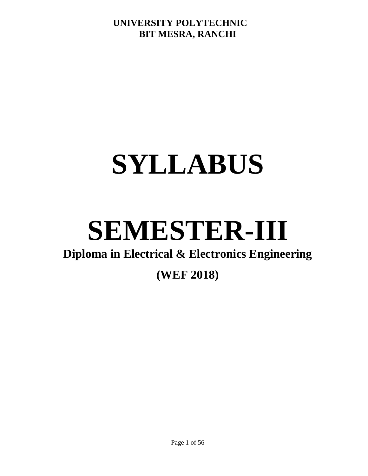# **SYLLABUS**

# **SEMESTER-III**

# **Diploma in Electrical & Electronics Engineering**

# **(WEF 2018)**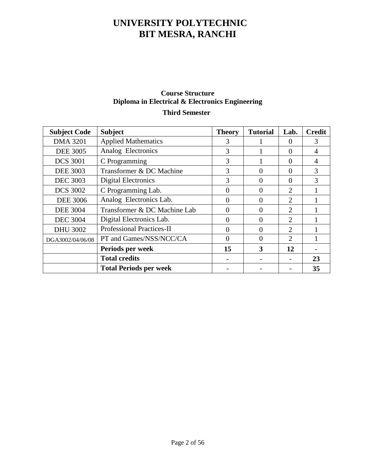# **Course Structure Diploma in Electrical & Electronics Engineering**

# **Third Semester**

| <b>Subject Code</b> | <b>Subject</b>                   | <b>Theory</b> | <b>Tutorial</b> | Lab.                        | <b>Credit</b> |
|---------------------|----------------------------------|---------------|-----------------|-----------------------------|---------------|
| <b>DMA 3201</b>     | <b>Applied Mathematics</b>       | 3             |                 | $\Omega$                    | 3             |
| <b>DEE 3005</b>     | Analog Electronics               | 3             |                 | $\Omega$                    |               |
| <b>DCS 3001</b>     | C Programming                    | 3             |                 | $\theta$                    | 4             |
| <b>DEE 3003</b>     | Transformer & DC Machine         | 3             | $\Omega$        | $\Omega$                    | 3             |
| <b>DEC 3003</b>     | Digital Electronics              | 3             | $\Omega$        | $\Omega$                    | 3             |
| <b>DCS 3002</b>     | C Programming Lab.               | 0             | $\Omega$        | $\mathcal{D}_{\mathcal{L}}$ |               |
| <b>DEE 3006</b>     | Analog Electronics Lab.          | 0             | $\Omega$        | $\overline{2}$              |               |
| <b>DEE 3004</b>     | Transformer & DC Machine Lab     | 0             | $\Omega$        | $\overline{2}$              |               |
| <b>DEC 3004</b>     | Digital Electronics Lab.         | 0             | $\Omega$        | $\overline{2}$              |               |
| <b>DHU 3002</b>     | <b>Professional Practices-II</b> | $\Omega$      | $\Omega$        | $\overline{2}$              |               |
| DGA3002/04/06/08    | PT and Games/NSS/NCC/CA          | $\theta$      | $\theta$        | $\overline{2}$              |               |
|                     | Periods per week                 | 15            | 3               | 12                          |               |
|                     | <b>Total credits</b>             |               |                 |                             | 23            |
|                     | <b>Total Periods per week</b>    |               |                 |                             | 35            |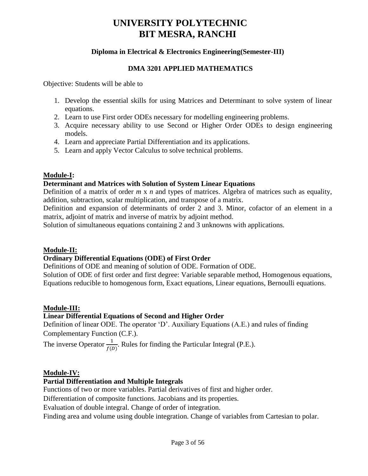# **Diploma in Electrical & Electronics Engineering(Semester-III)**

#### **DMA 3201 APPLIED MATHEMATICS**

Objective: Students will be able to

- 1. Develop the essential skills for using Matrices and Determinant to solve system of linear equations.
- 2. Learn to use First order ODEs necessary for modelling engineering problems.
- 3. Acquire necessary ability to use Second or Higher Order ODEs to design engineering models.
- 4. Learn and appreciate Partial Differentiation and its applications.
- 5. Learn and apply Vector Calculus to solve technical problems.

## **Module-I:**

## **Determinant and Matrices with Solution of System Linear Equations**

Definition of a matrix of order *m* x *n* and types of matrices. Algebra of matrices such as equality, addition, subtraction, scalar multiplication, and transpose of a matrix.

Definition and expansion of determinants of order 2 and 3. Minor, cofactor of an element in a matrix, adjoint of matrix and inverse of matrix by adjoint method.

Solution of simultaneous equations containing 2 and 3 unknowns with applications.

## **Module-II:**

## **Ordinary Differential Equations (ODE) of First Order**

Definitions of ODE and meaning of solution of ODE. Formation of ODE.

Solution of ODE of first order and first degree: Variable separable method, Homogenous equations, Equations reducible to homogenous form, Exact equations, Linear equations, Bernoulli equations.

## **Module-III:**

## **Linear Differential Equations of Second and Higher Order**

Definition of linear ODE. The operator 'D'. Auxiliary Equations (A.E.) and rules of finding Complementary Function (C.F.).

The inverse Operator  $\frac{1}{f(D)}$ . Rules for finding the Particular Integral (P.E.).

## **Module-IV:**

## **Partial Differentiation and Multiple Integrals**

Functions of two or more variables. Partial derivatives of first and higher order.

Differentiation of composite functions. Jacobians and its properties.

Evaluation of double integral. Change of order of integration.

Finding area and volume using double integration. Change of variables from Cartesian to polar.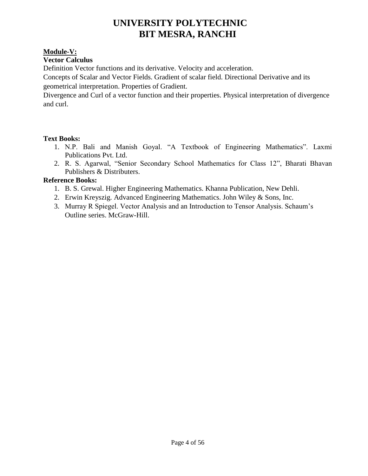# **Module-V:**

# **Vector Calculus**

Definition Vector functions and its derivative. Velocity and acceleration.

Concepts of Scalar and Vector Fields. Gradient of scalar field. Directional Derivative and its geometrical interpretation. Properties of Gradient.

Divergence and Curl of a vector function and their properties. Physical interpretation of divergence and curl.

## **Text Books:**

- 1. N.P. Bali and Manish Goyal. "A Textbook of Engineering Mathematics". Laxmi Publications Pvt. Ltd.
- 2. R. S. Agarwal, "Senior Secondary School Mathematics for Class 12", Bharati Bhavan Publishers & Distributers.

# **Reference Books:**

- 1. B. S. Grewal. Higher Engineering Mathematics. Khanna Publication, New Dehli.
- 2. Erwin Kreyszig. Advanced Engineering Mathematics. John Wiley & Sons, Inc.
- 3. Murray R Spiegel. Vector Analysis and an Introduction to Tensor Analysis. Schaum's Outline series. McGraw-Hill.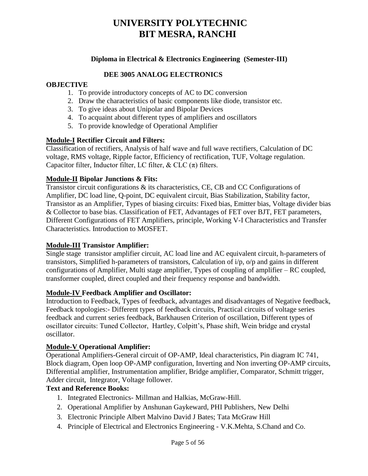# **Diploma in Electrical & Electronics Engineering (Semester-III)**

#### **DEE 3005 ANALOG ELECTRONICS**

#### **OBJECTIVE**

- 1. To provide introductory concepts of AC to DC conversion
- 2. Draw the characteristics of basic components like diode, transistor etc.
- 3. To give ideas about Unipolar and Bipolar Devices
- 4. To acquaint about different types of amplifiers and oscillators
- 5. To provide knowledge of Operational Amplifier

#### **Module-I Rectifier Circuit and Filters:**

Classification of rectifiers, Analysis of half wave and full wave rectifiers, Calculation of DC voltage, RMS voltage, Ripple factor, Efficiency of rectification, TUF, Voltage regulation. Capacitor filter, Inductor filter, LC filter, & CLC  $(\pi)$  filters.

#### **Module-II Bipolar Junctions & Fits:**

Transistor circuit configurations & its characteristics, CE, CB and CC Configurations of Amplifier, DC load line, Q-point, DC equivalent circuit, Bias Stabilization, Stability factor, Transistor as an Amplifier, Types of biasing circuits: Fixed bias, Emitter bias, Voltage divider bias & Collector to base bias. Classification of FET, Advantages of FET over BJT, FET parameters, Different Configurations of FET Amplifiers, principle, Working V-I Characteristics and Transfer Characteristics. Introduction to MOSFET.

#### **Module-III Transistor Amplifier:**

Single stage transistor amplifier circuit, AC load line and AC equivalent circuit, h-parameters of transistors, Simplified h-parameters of transistors, Calculation of i/p, o/p and gains in different configurations of Amplifier, Multi stage amplifier, Types of coupling of amplifier – RC coupled, transformer coupled, direct coupled and their frequency response and bandwidth.

#### **Module-IV Feedback Amplifier and Oscillator:**

Introduction to Feedback, Types of feedback, advantages and disadvantages of Negative feedback, Feedback topologies:- Different types of feedback circuits, Practical circuits of voltage series feedback and current series feedback, Barkhausen Criterion of oscillation, Different types of oscillator circuits: Tuned Collector, Hartley, Colpitt's, Phase shift, Wein bridge and crystal oscillator.

#### **Module-V Operational Amplifier:**

Operational Amplifiers-General circuit of OP-AMP, Ideal characteristics, Pin diagram IC 741, Block diagram, Open loop OP-AMP configuration, Inverting and Non inverting OP-AMP circuits, Differential amplifier, Instrumentation amplifier, Bridge amplifier, Comparator, Schmitt trigger, Adder circuit, Integrator, Voltage follower.

## **Text and Reference Books:**

- 1. Integrated Electronics- Millman and Halkias, McGraw-Hill.
- 2. Operational Amplifier by Anshunan Gaykeward, PHI Publishers, New Delhi
- 3. Electronic Principle Albert Malvino David J Bates; Tata McGraw Hill
- 4. Principle of Electrical and Electronics Engineering V.K.Mehta, S.Chand and Co.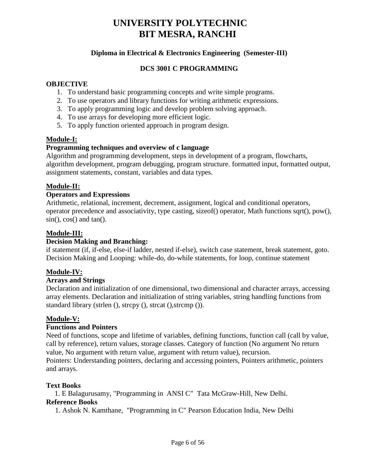# **Diploma in Electrical & Electronics Engineering (Semester-III)**

# **DCS 3001 C PROGRAMMING**

#### **OBJECTIVE**

- 1. To understand basic programming concepts and write simple programs.
- 2. To use operators and library functions for writing arithmetic expressions.
- 3. To apply programming logic and develop problem solving approach.
- 4. To use arrays for developing more efficient logic.
- 5. To apply function oriented approach in program design.

#### **Module-I:**

#### **Programming techniques and overview of c language**

Algorithm and programming development, steps in development of a program, flowcharts, algorithm development, program debugging, program structure. formatted input, formatted output, assignment statements, constant, variables and data types.

## **Module-II:**

#### **Operators and Expressions**

Arithmetic, relational, increment, decrement, assignment, logical and conditional operators, operator precedence and associativity, type casting, sizeof() operator, Math functions sqrt(), pow(),  $sin($ ,  $cos($ ) and  $tan($ ).

#### **Module-III:**

#### **Decision Making and Branching:**

if statement (if, if-else, else-if ladder, nested if-else), switch case statement, break statement, goto. Decision Making and Looping: while-do, do-while statements, for loop, continue statement

## **Module-IV:**

## **Arrays and Strings**

Declaration and initialization of one dimensional, two dimensional and character arrays, accessing array elements. Declaration and initialization of string variables, string handling functions from standard library (strlen (), strcpy (), strcat (),strcmp ()).

## **Module-V:**

## **Functions and Pointers**

Need of functions, scope and lifetime of variables, defining functions, function call (call by value, call by reference), return values, storage classes. Category of function (No argument No return value, No argument with return value, argument with return value), recursion. Pointers: Understanding pointers, declaring and accessing pointers, Pointers arithmetic, pointers and arrays.

#### **Text Books**

1. E Balagurusamy, "Programming in ANSI C" Tata McGraw-Hill, New Delhi. **Reference Books**

1. Ashok N. Kamthane, "Programming in C" Pearson Education India, New Delhi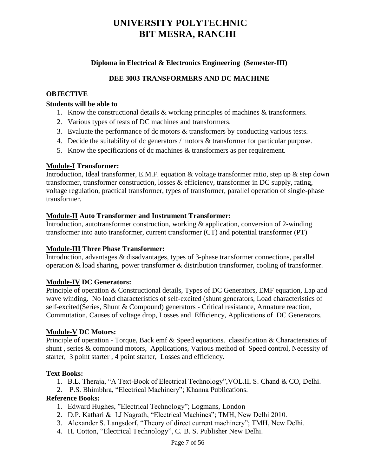# **Diploma in Electrical & Electronics Engineering (Semester-III)**

#### **DEE 3003 TRANSFORMERS AND DC MACHINE**

#### **OBJECTIVE**

#### **Students will be able to**

- 1. Know the constructional details & working principles of machines & transformers.
- 2. Various types of tests of DC machines and transformers.
- 3. Evaluate the performance of dc motors & transformers by conducting various tests.
- 4. Decide the suitability of dc generators / motors & transformer for particular purpose.
- 5. Know the specifications of dc machines & transformers as per requirement.

#### **Module-I Transformer:**

Introduction, Ideal transformer, E.M.F. equation & voltage transformer ratio, step up & step down transformer, transformer construction, losses & efficiency, transformer in DC supply, rating, voltage regulation, practical transformer, types of transformer, parallel operation of single-phase transformer.

#### **Module-II Auto Transformer and Instrument Transformer:**

Introduction, autotransformer construction, working & application, conversion of 2-winding transformer into auto transformer, current transformer (CT) and potential transformer (PT)

#### **Module-III Three Phase Transformer:**

Introduction, advantages & disadvantages, types of 3-phase transformer connections, parallel operation & load sharing, power transformer & distribution transformer, cooling of transformer.

#### **Module-IV DC Generators:**

Principle of operation & Constructional details, Types of DC Generators, EMF equation, Lap and wave winding. No load characteristics of self-excited (shunt generators, Load characteristics of self-excited(Series, Shunt & Compound) generators - Critical resistance, Armature reaction, Commutation, Causes of voltage drop, Losses and Efficiency, Applications of DC Generators.

#### **Module-V DC Motors:**

Principle of operation - Torque, Back emf & Speed equations. classification & Characteristics of shunt , series & compound motors, Applications, Various method of Speed control, Necessity of starter, 3 point starter , 4 point starter, Losses and efficiency.

#### **Text Books:**

- 1. B.L. Theraja, "A Text-Book of Electrical Technology",VOL.II, S. Chand & CO, Delhi.
- 2. P.S. Bhimbhra, "Electrical Machinery"; Khanna Publications.

#### **Reference Books:**

- 1. Edward Hughes, "Electrical Technology"; Logmans, London
- 2. D.P. Kathari & I.J Nagrath, "Electrical Machines"; TMH, New Delhi 2010.
- 3. Alexander S. Langsdorf, "Theory of direct current machinery"; TMH, New Delhi.
- 4. H. Cotton, "Electrical Technology", C. B. S. Publisher New Delhi.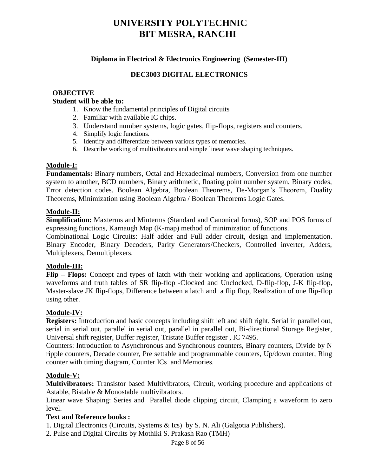## **Diploma in Electrical & Electronics Engineering (Semester-III)**

# **DEC3003 DIGITAL ELECTRONICS**

## **OBJECTIVE**

#### **Student will be able to:**

- 1. Know the fundamental principles of Digital circuits
- 2. Familiar with available IC chips.
- 3. Understand number systems, logic gates, flip-flops, registers and counters.
- 4. Simplify logic functions.
- 5. Identify and differentiate between various types of memories.
- 6. Describe working of multivibrators and simple linear wave shaping techniques.

## **Module-I:**

**Fundamentals:** Binary numbers, Octal and Hexadecimal numbers, Conversion from one number system to another, BCD numbers, Binary arithmetic, floating point number system, Binary codes, Error detection codes. Boolean Algebra, Boolean Theorems, De-Morgan's Theorem, Duality Theorems, Minimization using Boolean Algebra / Boolean Theorems Logic Gates.

#### **Module-II:**

**Simplification:** Maxterms and Minterms (Standard and Canonical forms), SOP and POS forms of expressing functions, Karnaugh Map (K-map) method of minimization of functions.

Combinational Logic Circuits: Half adder and Full adder circuit, design and implementation. Binary Encoder, Binary Decoders, Parity Generators/Checkers, Controlled inverter, Adders, Multiplexers, Demultiplexers.

## **Module-III:**

**Flip – Flops:** Concept and types of latch with their working and applications, Operation using waveforms and truth tables of SR flip-flop -Clocked and Unclocked, D-flip-flop, J-K flip-flop, Master-slave JK flip-flops, Difference between a latch and a flip flop, Realization of one flip-flop using other.

## **Module-IV:**

**Registers:** Introduction and basic concepts including shift left and shift right, Serial in parallel out, serial in serial out, parallel in serial out, parallel in parallel out, Bi-directional Storage Register, Universal shift register, Buffer register, Tristate Buffer register , IC 7495.

Counters: Introduction to Asynchronous and Synchronous counters, Binary counters, Divide by N ripple counters, Decade counter, Pre settable and programmable counters, Up/down counter, Ring counter with timing diagram, Counter ICs and Memories.

## **Module-V:**

**Multivibrators:** Transistor based Multivibrators, Circuit, working procedure and applications of Astable, Bistable & Monostable multivibrators.

Linear wave Shaping: Series and Parallel diode clipping circuit, Clamping a waveform to zero level.

## **Text and Reference books :**

1. Digital Electronics (Circuits, Systems & Ics) by S. N. Ali (Galgotia Publishers).

2. Pulse and Digital Circuits by Mothiki S. Prakash Rao (TMH)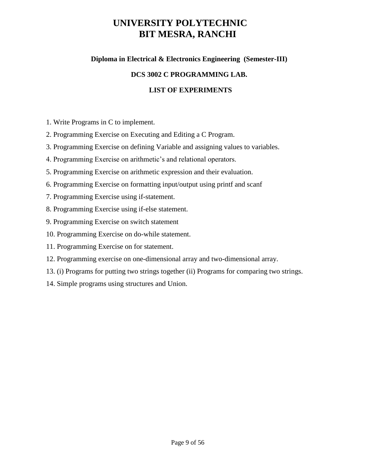# **Diploma in Electrical & Electronics Engineering (Semester-III)**

# **DCS 3002 C PROGRAMMING LAB.**

# **LIST OF EXPERIMENTS**

- 1. Write Programs in C to implement.
- 2. Programming Exercise on Executing and Editing a C Program.
- 3. Programming Exercise on defining Variable and assigning values to variables.
- 4. Programming Exercise on arithmetic's and relational operators.
- 5. Programming Exercise on arithmetic expression and their evaluation.
- 6. Programming Exercise on formatting input/output using printf and scanf
- 7. Programming Exercise using if-statement.
- 8. Programming Exercise using if-else statement.
- 9. Programming Exercise on switch statement
- 10. Programming Exercise on do-while statement.
- 11. Programming Exercise on for statement.
- 12. Programming exercise on one-dimensional array and two-dimensional array.
- 13. (i) Programs for putting two strings together (ii) Programs for comparing two strings.
- 14. Simple programs using structures and Union.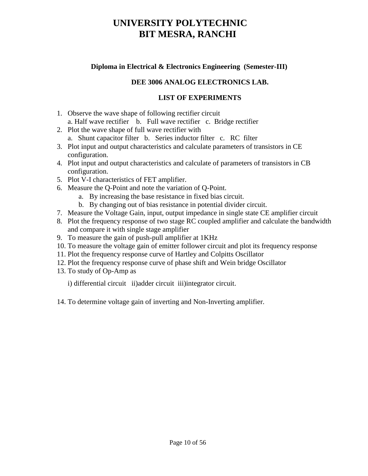# **Diploma in Electrical & Electronics Engineering (Semester-III)**

# **DEE 3006 ANALOG ELECTRONICS LAB.**

## **LIST OF EXPERIMENTS**

- 1. Observe the wave shape of following rectifier circuit a. Half wave rectifier b. Full wave rectifier c. Bridge rectifier
- 2. Plot the wave shape of full wave rectifier with
	- a. Shunt capacitor filter b. Series inductor filter c. RC filter
- 3. Plot input and output characteristics and calculate parameters of transistors in CE configuration.
- 4. Plot input and output characteristics and calculate of parameters of transistors in CB configuration.
- 5. Plot V-I characteristics of FET amplifier.
- 6. Measure the Q-Point and note the variation of Q-Point.
	- a. By increasing the base resistance in fixed bias circuit.
	- b. By changing out of bias resistance in potential divider circuit.
- 7. Measure the Voltage Gain, input, output impedance in single state CE amplifier circuit
- 8. Plot the frequency response of two stage RC coupled amplifier and calculate the bandwidth and compare it with single stage amplifier
- 9. To measure the gain of push-pull amplifier at 1KHz
- 10. To measure the voltage gain of emitter follower circuit and plot its frequency response
- 11. Plot the frequency response curve of Hartley and Colpitts Oscillator
- 12. Plot the frequency response curve of phase shift and Wein bridge Oscillator
- 13. To study of Op-Amp as

i) differential circuit ii)adder circuit iii)integrator circuit.

14. To determine voltage gain of inverting and Non-Inverting amplifier.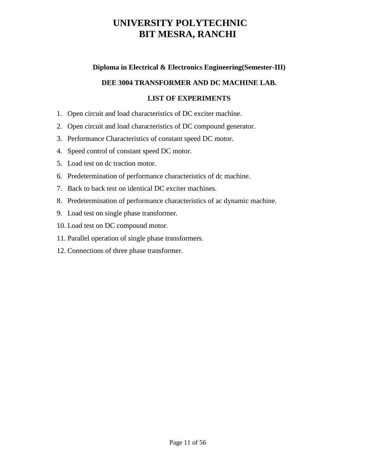# **Diploma in Electrical & Electronics Engineering(Semester-III)**

## **DEE 3004 TRANSFORMER AND DC MACHINE LAB.**

## **LIST OF EXPERIMENTS**

- 1. Open circuit and load characteristics of DC exciter machine.
- 2. Open circuit and load characteristics of DC compound generator.
- 3. Performance Characteristics of constant speed DC motor.
- 4. Speed control of constant speed DC motor.
- 5. Load test on dc traction motor.
- 6. Predetermination of performance characteristics of dc machine.
- 7. Back to back test on identical DC exciter machines.
- 8. Predetermination of performance characteristics of ac dynamic machine.
- 9. Load test on single phase transformer.
- 10. Load test on DC compound motor.
- 11. Parallel operation of single phase transformers.
- 12. Connections of three phase transformer.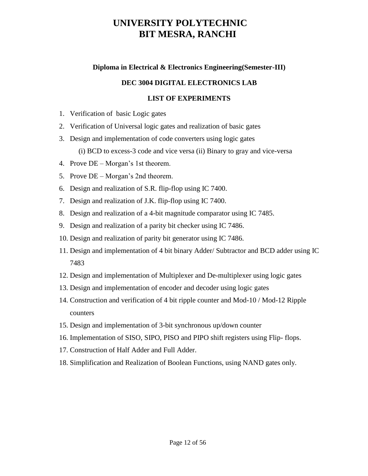# **Diploma in Electrical & Electronics Engineering(Semester-III)**

# **DEC 3004 DIGITAL ELECTRONICS LAB**

# **LIST OF EXPERIMENTS**

- 1. Verification of basic Logic gates
- 2. Verification of Universal logic gates and realization of basic gates
- 3. Design and implementation of code converters using logic gates
	- (i) BCD to excess-3 code and vice versa (ii) Binary to gray and vice-versa
- 4. Prove DE Morgan's 1st theorem.
- 5. Prove DE Morgan's 2nd theorem.
- 6. Design and realization of S.R. flip-flop using IC 7400.
- 7. Design and realization of J.K. flip-flop using IC 7400.
- 8. Design and realization of a 4-bit magnitude comparator using IC 7485.
- 9. Design and realization of a parity bit checker using IC 7486.
- 10. Design and realization of parity bit generator using IC 7486.
- 11. Design and implementation of 4 bit binary Adder/ Subtractor and BCD adder using IC 7483
- 12. Design and implementation of Multiplexer and De-multiplexer using logic gates
- 13. Design and implementation of encoder and decoder using logic gates
- 14. Construction and verification of 4 bit ripple counter and Mod-10 / Mod-12 Ripple counters
- 15. Design and implementation of 3-bit synchronous up/down counter
- 16. Implementation of SISO, SIPO, PISO and PIPO shift registers using Flip- flops.
- 17. Construction of Half Adder and Full Adder.
- 18. Simplification and Realization of Boolean Functions, using NAND gates only.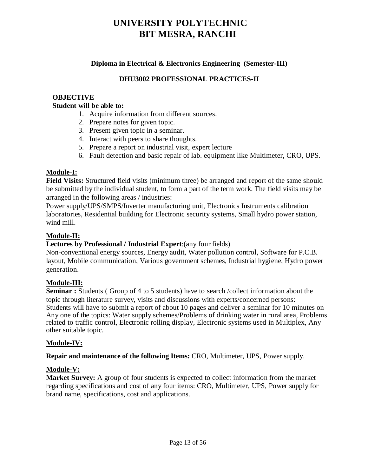# **Diploma in Electrical & Electronics Engineering (Semester-III)**

# **DHU3002 PROFESSIONAL PRACTICES-II**

#### **OBJECTIVE Student will be able to:**

- 1. Acquire information from different sources.
- 2. Prepare notes for given topic.
- 3. Present given topic in a seminar.
- 4. Interact with peers to share thoughts.
- 5. Prepare a report on industrial visit, expert lecture
- 6. Fault detection and basic repair of lab. equipment like Multimeter, CRO, UPS.

#### **Module-I:**

**Field Visits:** Structured field visits (minimum three) be arranged and report of the same should be submitted by the individual student, to form a part of the term work. The field visits may be arranged in the following areas / industries:

Power supply/UPS/SMPS/Inverter manufacturing unit, Electronics Instruments calibration laboratories, Residential building for Electronic security systems, Small hydro power station, wind mill.

## **Module-II:**

## **Lectures by Professional / Industrial Expert**:(any four fields)

Non-conventional energy sources, Energy audit, Water pollution control, Software for P.C.B. layout, Mobile communication, Various government schemes, Industrial hygiene, Hydro power generation.

## **Module-III:**

**Seminar :** Students (Group of 4 to 5 students) have to search /collect information about the topic through literature survey, visits and discussions with experts/concerned persons: Students will have to submit a report of about 10 pages and deliver a seminar for 10 minutes on Any one of the topics: Water supply schemes/Problems of drinking water in rural area, Problems related to traffic control, Electronic rolling display, Electronic systems used in Multiplex, Any other suitable topic.

#### **Module-IV:**

**Repair and maintenance of the following Items:** CRO, Multimeter, UPS, Power supply.

#### **Module-V:**

**Market Survey:** A group of four students is expected to collect information from the market regarding specifications and cost of any four items: CRO, Multimeter, UPS, Power supply for brand name, specifications, cost and applications.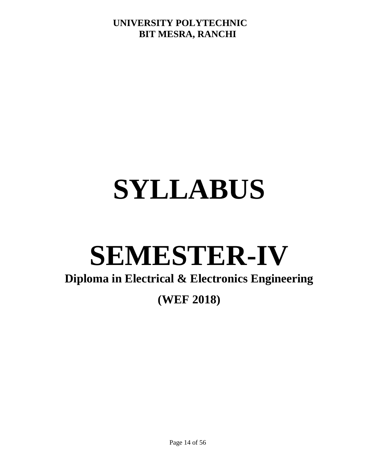# **SYLLABUS**

# **SEMESTER-IV**

# **Diploma in Electrical & Electronics Engineering**

# **(WEF 2018)**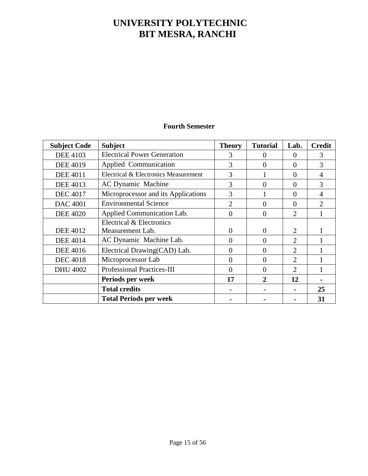# **Fourth Semester**

| <b>Subject Code</b> | <b>Subject</b>                       | <b>Theory</b> | <b>Tutorial</b> | Lab.           | <b>Credit</b>               |
|---------------------|--------------------------------------|---------------|-----------------|----------------|-----------------------------|
| <b>DEE 4103</b>     | <b>Electrical Power Generation</b>   | 3             | $\Omega$        | $\Omega$       | 3                           |
| <b>DEE 4019</b>     | Applied Communication                | 3             | $\theta$        | $\theta$       | 3                           |
| <b>DEE 4011</b>     | Electrical & Electronics Measurement | 3             |                 | $\theta$       | 4                           |
| <b>DEE 4013</b>     | <b>AC Dynamic Machine</b>            | 3             | $\Omega$        | $\Omega$       | 3                           |
| <b>DEC 4017</b>     | Microprocessor and its Applications  | 3             |                 | $\overline{0}$ | $\overline{4}$              |
| <b>DAC 4001</b>     | <b>Environmental Science</b>         | 2             | $\theta$        | $\theta$       | $\mathcal{D}_{\mathcal{L}}$ |
| <b>DEE 4020</b>     | Applied Communication Lab.           | $\Omega$      | $\theta$        | $\overline{2}$ |                             |
|                     | Electrical & Electronics             |               |                 |                |                             |
| <b>DEE 4012</b>     | Measurement Lab.                     | $\Omega$      | $\theta$        | $\overline{2}$ |                             |
| <b>DEE 4014</b>     | AC Dynamic Machine Lab.              | $\Omega$      | $\theta$        | $\overline{2}$ |                             |
| <b>DEE 4016</b>     | Electrical Drawing(CAD) Lab.         | $\Omega$      | $\theta$        | $\overline{2}$ |                             |
| <b>DEC 4018</b>     | Microprocessor Lab                   | $\Omega$      | $\theta$        | $\overline{2}$ |                             |
| <b>DHU 4002</b>     | <b>Professional Practices-III</b>    | $\Omega$      | $\overline{0}$  | $\overline{2}$ |                             |
|                     | Periods per week                     | 17            | $\overline{2}$  | 12             |                             |
|                     | <b>Total credits</b>                 |               |                 |                | 25                          |
|                     | <b>Total Periods per week</b>        |               |                 |                | 31                          |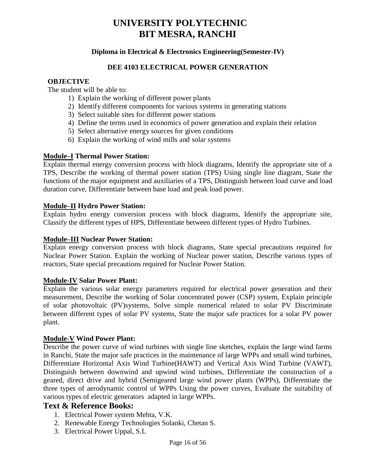## **Diploma in Electrical & Electronics Engineering(Semester-IV)**

#### **DEE 4103 ELECTRICAL POWER GENERATION**

#### **OBJECTIVE**

The student will be able to:

- 1) Explain the working of different power plants
- 2) Identify different components for various systems in generating stations
- 3) Select suitable sites for different power stations
- 4) Define the terms used in economics of power generation and explain their relation
- 5) Select alternative energy sources for given conditions
- 6) Explain the working of wind mills and solar systems

#### **Module–I Thermal Power Station:**

Explain thermal energy conversion process with block diagrams, Identify the appropriate site of a TPS, Describe the working of thermal power station (TPS) Using single line diagram, State the functions of the major equipment and auxiliaries of a TPS, Distinguish between load curve and load duration curve, Differentiate between base load and peak load power.

#### **Module–II Hydro Power Station:**

Explain hydro energy conversion process with block diagrams, Identify the appropriate site, Classify the different types of HPS, Differentiate between different types of Hydro Turbines.

#### **Module–III Nuclear Power Station:**

Explain energy conversion process with block diagrams, State special precautions required for Nuclear Power Station. Explain the working of Nuclear power station, Describe various types of reactors, State special precautions required for Nuclear Power Station.

#### **Module-IV Solar Power Plant:**

Explain the various solar energy parameters required for electrical power generation and their measurement, Describe the working of Solar concentrated power (CSP) system, Explain principle of solar photovoltaic (PV)systems, Solve simple numerical related to solar PV Discriminate between different types of solar PV systems, State the major safe practices for a solar PV power plant.

#### **Module-V Wind Power Plant:**

Describe the power curve of wind turbines with single line sketches, explain the large wind farms in Ranchi, State the major safe practices in the maintenance of large WPPs and small wind turbines, Differentiate Horizontal Axis Wind Turbine(HAWT) and Vertical Axis Wind Turbine (VAWT), Distinguish between downwind and upwind wind turbines, Differentiate the construction of a geared, direct drive and hybrid (Semigeared large wind power plants (WPPs), Differentiate the three types of aerodynamic control of WPPs Using the power curves, Evaluate the suitability of various types of electric generators adapted in large WPPs.

## **Text & Reference Books:**

- 1. Electrical Power system Mehta, V.K.
- 2. Renewable Energy Technologies Solanki, Chetan S.
- 3. Electrical Power Uppal, S.L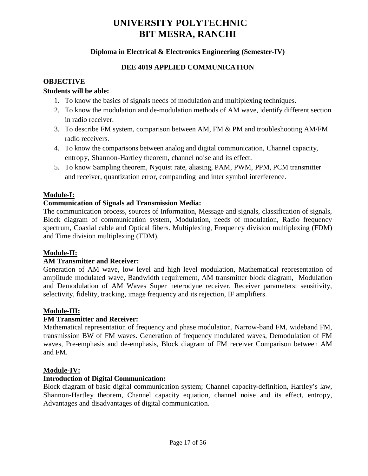# **Diploma in Electrical & Electronics Engineering (Semester-IV)**

# **DEE 4019 APPLIED COMMUNICATION**

# **OBJECTIVE**

# **Students will be able:**

- 1. To know the basics of signals needs of modulation and multiplexing techniques.
- 2. To know the modulation and de-modulation methods of AM wave, identify different section in radio receiver.
- 3. To describe FM system, comparison between AM, FM & PM and troubleshooting AM/FM radio receivers.
- 4. To know the comparisons between analog and digital communication, Channel capacity, entropy, Shannon-Hartley theorem, channel noise and its effect.
- 5. To know Sampling theorem, Nyquist rate, aliasing, PAM, PWM, PPM, PCM transmitter and receiver, quantization error, companding and inter symbol interference.

# **Module-I:**

# **Communication of Signals ad Transmission Media:**

The communication process, sources of Information, Message and signals, classification of signals, Block diagram of communication system, Modulation, needs of modulation, Radio frequency spectrum, Coaxial cable and Optical fibers. Multiplexing, Frequency division multiplexing (FDM) and Time division multiplexing (TDM).

## **Module-II:**

## **AM Transmitter and Receiver:**

Generation of AM wave, low level and high level modulation, Mathematical representation of amplitude modulated wave, Bandwidth requirement, AM transmitter block diagram, Modulation and Demodulation of AM Waves Super heterodyne receiver, Receiver parameters: sensitivity, selectivity, fidelity, tracking, image frequency and its rejection, IF amplifiers.

## **Module-III:**

## **FM Transmitter and Receiver:**

Mathematical representation of frequency and phase modulation, Narrow-band FM, wideband FM, transmission BW of FM waves. Generation of frequency modulated waves, Demodulation of FM waves, Pre-emphasis and de-emphasis, Block diagram of FM receiver Comparison between AM and FM.

## **Module-IV:**

## **Introduction of Digital Communication:**

Block diagram of basic digital communication system; Channel capacity-definition, Hartley's law, Shannon-Hartley theorem, Channel capacity equation, channel noise and its effect, entropy, Advantages and disadvantages of digital communication.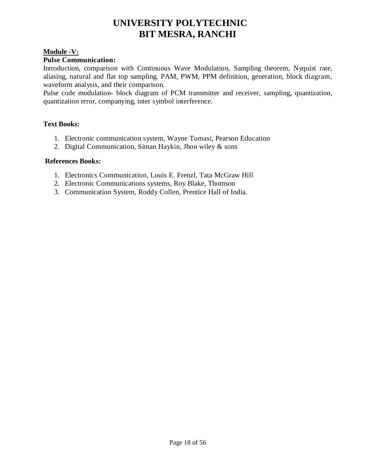## **Module -V:**

## **Pulse Communication:**

Introduction, comparison with Continuous Wave Modulation, Sampling theorem, Nyquist rate, aliasing, natural and flat top sampling. PAM, PWM, PPM definition, generation, block diagram, waveform analysis, and their comparison.

Pulse code modulation- block diagram of PCM transmitter and receiver, sampling, quantization, quantization error, companying, inter symbol interference.

# **Text Books:**

- 1. Electronic communication system, Wayne Tomasi, Pearson Education
- 2. Digital Communication, Siman Haykin, Jhon wiley & sons

## **References Books:**

- 1. Electronics Communication, Louis E. Frenzl, Tata McGraw Hill
- 2. Electronic Communications systems, Roy Blake, Thomson
- 3. Communication System, Roddy Collen, Prentice Hall of India.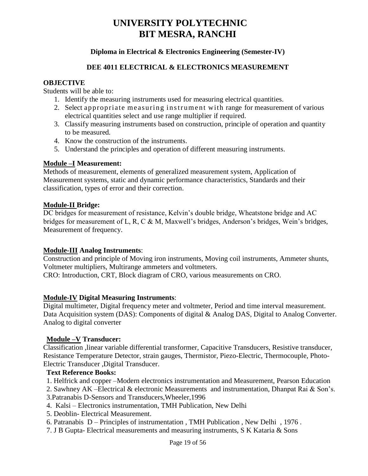# **Diploma in Electrical & Electronics Engineering (Semester-IV)**

## **DEE 4011 ELECTRICAL & ELECTRONICS MEASUREMENT**

#### **OBJECTIVE**

Students will be able to:

- 1. Identify the measuring instruments used for measuring electrical quantities.
- 2. Select appropriate measuring instrument with range for measurement of various electrical quantities select and use range multiplier if required.
- 3. Classify measuring instruments based on construction, principle of operation and quantity to be measured.
- 4. Know the construction of the instruments.
- 5. Understand the principles and operation of different measuring instruments.

#### **Module –I Measurement:**

Methods of measurement, elements of generalized measurement system, Application of Measurement systems, static and dynamic performance characteristics, Standards and their classification, types of error and their correction.

#### **Module-II Bridge:**

DC bridges for measurement of resistance, Kelvin's double bridge, Wheatstone bridge and AC bridges for measurement of L, R, C & M, Maxwell's bridges, Anderson's bridges, Wein's bridges, Measurement of frequency.

#### **Module-III Analog Instruments**:

Construction and principle of Moving iron instruments, Moving coil instruments, Ammeter shunts, Voltmeter multipliers, Multirange ammeters and voltmeters.

CRO: Introduction, CRT, Block diagram of CRO, various measurements on CRO.

#### **Module-IV Digital Measuring Instruments**:

Digital multimeter, Digital frequency meter and voltmeter, Period and time interval measurement. Data Acquisition system (DAS): Components of digital & Analog DAS, Digital to Analog Converter. Analog to digital converter

#### **Module –V Transducer:**

Classification ,linear variable differential transformer, Capacitive Transducers, Resistive transducer, Resistance Temperature Detector, strain gauges, Thermistor, Piezo-Electric, Thermocouple, Photo-Electric Transducer ,Digital Transducer.

#### **Text Reference Books:**

1. Helfrick and copper –Modern electronics instrumentation and Measurement, Pearson Education

2. Sawhney AK –Electrical & electronic Measurements and instrumentation, Dhanpat Rai & Son's.

- 3.Patranabis D-Sensors and Transducers,Wheeler,1996
- 4. Kalsi Electronics instrumentation, TMH Publication, New Delhi
- 5. Deoblin- Electrical Measurement.
- 6. Patranabis D Principles of instrumentation , TMH Publication , New Delhi , 1976 .
- 7. J B Gupta- Electrical measurements and measuring instruments, S K Kataria & Sons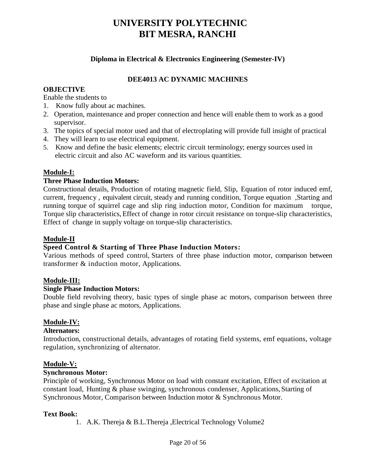## **Diploma in Electrical & Electronics Engineering (Semester-IV)**

# **DEE4013 AC DYNAMIC MACHINES**

#### **OBJECTIVE**

Enable the students to

- 1. Know fully about ac machines.
- 2. Operation, maintenance and proper connection and hence will enable them to work as a good supervisor.
- 3. The topics of special motor used and that of electroplating will provide full insight of practical
- 4. They will learn to use electrical equipment.
- 5. Know and define the basic elements; electric circuit terminology; energy sources used in electric circuit and also AC waveform and its various quantities.

## **Module-I:**

## **Three Phase Induction Motors:**

Constructional details, Production of rotating magnetic field, Slip, Equation of rotor induced emf, current, frequency , equivalent circuit, steady and running condition, Torque equation ,Starting and running torque of squirrel cage and slip ring induction motor, Condition for maximum torque, Torque slip characteristics, Effect of change in rotor circuit resistance on torque-slip characteristics, Effect of change in supply voltage on torque-slip characteristics.

#### **Module-II**

## **Speed Control & Starting of Three Phase Induction Motors:**

Various methods of speed control, Starters of three phase induction motor, comparison between transformer & induction motor, Applications.

#### **Module-III:**

# **Single Phase Induction Motors:**

Double field revolving theory, basic types of single phase ac motors, comparison between three phase and single phase ac motors, Applications.

## **Module-IV:**

#### **Alternators:**

Introduction, constructional details, advantages of rotating field systems, emf equations, voltage regulation, synchronizing of alternator.

#### **Module-V:**

## **Synchronous Motor:**

Principle of working, Synchronous Motor on load with constant excitation, Effect of excitation at constant load, Hunting & phase swinging, synchronous condenser, Applications, Starting of Synchronous Motor, Comparison between Induction motor & Synchronous Motor.

#### **Text Book:**

1. A.K. Thereja & B.L.Thereja ,Electrical Technology Volume2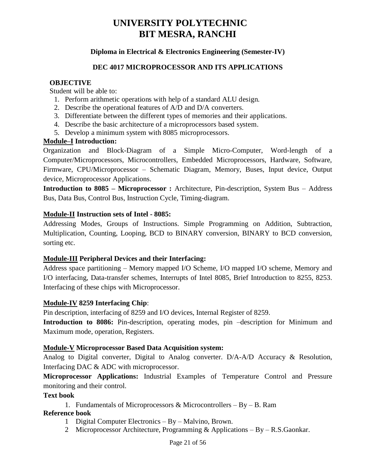# **Diploma in Electrical & Electronics Engineering (Semester-IV)**

#### **DEC 4017 MICROPROCESSOR AND ITS APPLICATIONS**

#### **OBJECTIVE**

Student will be able to:

- 1. Perform arithmetic operations with help of a standard ALU design.
- 2. Describe the operational features of A/D and D/A converters.
- 3. Differentiate between the different types of memories and their applications.
- 4. Describe the basic architecture of a microprocessors based system.
- 5. Develop a minimum system with 8085 microprocessors.

## **Module–I Introduction:**

Organization and Block-Diagram of a Simple Micro-Computer, Word-length of a Computer/Microprocessors, Microcontrollers, Embedded Microprocessors, Hardware, Software, Firmware, CPU/Microprocessor – Schematic Diagram, Memory, Buses, Input device, Output device, Microprocessor Applications.

**Introduction to 8085 – Microprocessor :** Architecture, Pin-description, System Bus – Address Bus, Data Bus, Control Bus, Instruction Cycle, Timing-diagram.

#### **Module-II Instruction sets of Intel - 8085:**

Addressing Modes, Groups of Instructions. Simple Programming on Addition, Subtraction, Multiplication, Counting, Looping, BCD to BINARY conversion, BINARY to BCD conversion, sorting etc.

## **Module-III Peripheral Devices and their Interfacing:**

Address space partitioning – Memory mapped I/O Scheme, I/O mapped I/O scheme, Memory and I/O interfacing, Data-transfer schemes, Interrupts of Intel 8085, Brief Introduction to 8255, 8253. Interfacing of these chips with Microprocessor.

## **Module-IV 8259 Interfacing Chip**:

Pin description, interfacing of 8259 and I/O devices, Internal Register of 8259.

**Introduction to 8086:** Pin-description, operating modes, pin –description for Minimum and Maximum mode, operation, Registers.

#### **Module-V Microprocessor Based Data Acquisition system:**

Analog to Digital converter, Digital to Analog converter. D/A-A/D Accuracy & Resolution, Interfacing DAC & ADC with microprocessor.

**Microprocessor Applications:** Industrial Examples of Temperature Control and Pressure monitoring and their control.

#### **Text book**

1. Fundamentals of Microprocessors  $\&$  Microcontrollers – By – B. Ram

#### **Reference book**

- 1 Digital Computer Electronics By Malvino, Brown.
- 2 Microprocessor Architecture, Programming & Applications  $-By R.S.Gaonkar$ .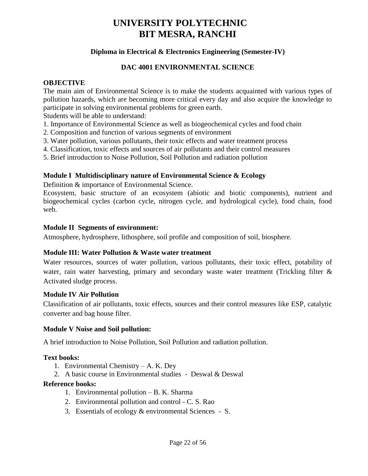# **Diploma in Electrical & Electronics Engineering (Semester-IV)**

#### **DAC 4001 ENVIRONMENTAL SCIENCE**

#### **OBJECTIVE**

The main aim of Environmental Science is to make the students acquainted with various types of pollution hazards, which are becoming more critical every day and also acquire the knowledge to participate in solving environmental problems for green earth.

Students will be able to understand:

- 1. Importance of Environmental Science as well as biogeochemical cycles and food chain
- 2. Composition and function of various segments of environment
- 3. Water pollution, various pollutants, their toxic effects and water treatment process
- 4. Classification, toxic effects and sources of air pollutants and their control measures
- 5. Brief introduction to Noise Pollution, Soil Pollution and radiation pollution

## **Module I Multidisciplinary nature of Environmental Science & Ecology**

Definition & importance of Environmental Science.

Ecosystem, basic structure of an ecosystem (abiotic and biotic components), nutrient and biogeochemical cycles (carbon cycle, nitrogen cycle, and hydrological cycle), food chain, food web.

#### **Module II Segments of environment:**

Atmosphere, hydrosphere, lithosphere, soil profile and composition of soil, biosphere.

#### **Module III: Water Pollution & Waste water treatment**

Water resources, sources of water pollution, various pollutants, their toxic effect, potability of water, rain water harvesting, primary and secondary waste water treatment (Trickling filter & Activated sludge process.

#### **Module IV Air Pollution**

Classification of air pollutants, toxic effects, sources and their control measures like ESP, catalytic converter and bag house filter.

#### **Module V Noise and Soil pollution:**

A brief introduction to Noise Pollution, Soil Pollution and radiation pollution.

#### **Text books:**

- 1. Environmental Chemistry A. K. Dey
- 2. A basic course in Environmental studies Deswal & Deswal

#### **Reference books:**

- 1. Environmental pollution B. K. Sharma
- 2. Environmental pollution and control C. S. Rao
- 3. Essentials of ecology & environmental Sciences S.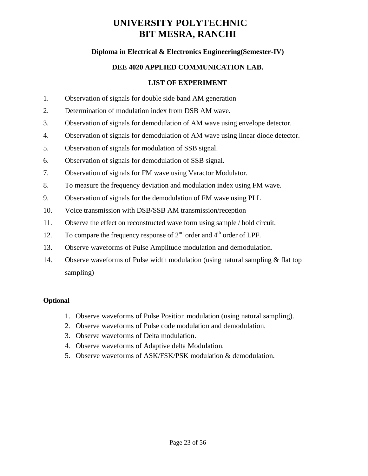# **Diploma in Electrical & Electronics Engineering(Semester-IV)**

# **DEE 4020 APPLIED COMMUNICATION LAB.**

## **LIST OF EXPERIMENT**

- 1. Observation of signals for double side band AM generation
- 2. Determination of modulation index from DSB AM wave.
- 3. Observation of signals for demodulation of AM wave using envelope detector.
- 4. Observation of signals for demodulation of AM wave using linear diode detector.
- 5. Observation of signals for modulation of SSB signal.
- 6. Observation of signals for demodulation of SSB signal.
- 7. Observation of signals for FM wave using Varactor Modulator.
- 8. To measure the frequency deviation and modulation index using FM wave.
- 9. Observation of signals for the demodulation of FM wave using PLL
- 10. Voice transmission with DSB/SSB AM transmission/reception
- 11. Observe the effect on reconstructed wave form using sample / hold circuit.
- 12. To compare the frequency response of  $2<sup>nd</sup>$  order and  $4<sup>th</sup>$  order of LPF.
- 13. Observe waveforms of Pulse Amplitude modulation and demodulation.
- 14. Observe waveforms of Pulse width modulation (using natural sampling & flat top sampling)

#### **Optional**

- 1. Observe waveforms of Pulse Position modulation (using natural sampling).
- 2. Observe waveforms of Pulse code modulation and demodulation.
- 3. Observe waveforms of Delta modulation.
- 4. Observe waveforms of Adaptive delta Modulation.
- 5. Observe waveforms of ASK/FSK/PSK modulation & demodulation.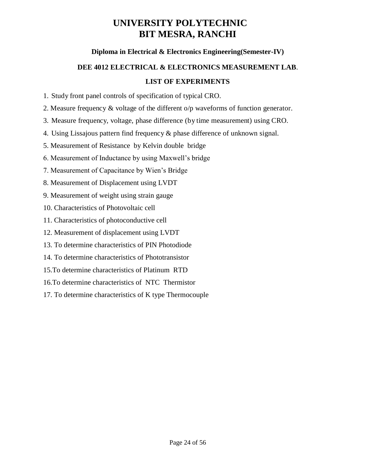# **Diploma in Electrical & Electronics Engineering(Semester-IV)**

# **DEE 4012 ELECTRICAL & ELECTRONICS MEASUREMENT LAB**. **LIST OF EXPERIMENTS**

1. Study front panel controls of specification of typical CRO.

2. Measure frequency & voltage of the different o/p waveforms of function generator.

3. Measure frequency, voltage, phase difference (by time measurement) using CRO.

4. Using Lissajous pattern find frequency & phase difference of unknown signal.

5. Measurement of Resistance by Kelvin double bridge

6. Measurement of Inductance by using Maxwell's bridge

7. Measurement of Capacitance by Wien's Bridge

8. Measurement of Displacement using LVDT

9. Measurement of weight using strain gauge

10. Characteristics of Photovoltaic cell

11. Characteristics of photoconductive cell

12. Measurement of displacement using LVDT

13. To determine characteristics of PIN Photodiode

14. To determine characteristics of Phototransistor

15.To determine characteristics of Platinum RTD

16.To determine characteristics of NTC Thermistor

17. To determine characteristics of K type Thermocouple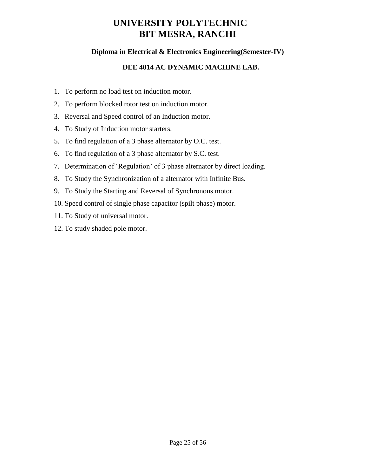# **Diploma in Electrical & Electronics Engineering(Semester-IV)**

# **DEE 4014 AC DYNAMIC MACHINE LAB.**

- 1. To perform no load test on induction motor.
- 2. To perform blocked rotor test on induction motor.
- 3. Reversal and Speed control of an Induction motor.
- 4. To Study of Induction motor starters.
- 5. To find regulation of a 3 phase alternator by O.C. test.
- 6. To find regulation of a 3 phase alternator by S.C. test.
- 7. Determination of 'Regulation' of 3 phase alternator by direct loading.
- 8. To Study the Synchronization of a alternator with Infinite Bus.
- 9. To Study the Starting and Reversal of Synchronous motor.
- 10. Speed control of single phase capacitor (spilt phase) motor.
- 11. To Study of universal motor.
- 12. To study shaded pole motor.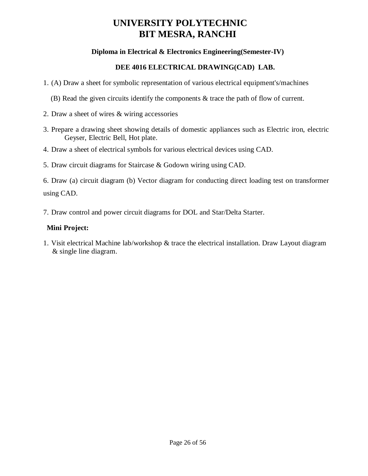# **Diploma in Electrical & Electronics Engineering(Semester-IV)**

# **DEE 4016 ELECTRICAL DRAWING(CAD) LAB.**

- 1. (A) Draw a sheet for symbolic representation of various electrical equipment's/machines
	- (B) Read the given circuits identify the components & trace the path of flow of current.
- 2. Draw a sheet of wires & wiring accessories
- 3. Prepare a drawing sheet showing details of domestic appliances such as Electric iron, electric Geyser, Electric Bell, Hot plate.
- 4. Draw a sheet of electrical symbols for various electrical devices using CAD.
- 5. Draw circuit diagrams for Staircase & Godown wiring using CAD.

6. Draw (a) circuit diagram (b) Vector diagram for conducting direct loading test on transformer using CAD.

7. Draw control and power circuit diagrams for DOL and Star/Delta Starter.

# **Mini Project:**

1. Visit electrical Machine lab/workshop & trace the electrical installation. Draw Layout diagram & single line diagram.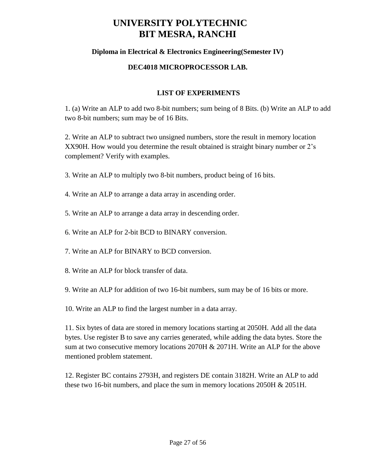# **Diploma in Electrical & Electronics Engineering(Semester IV)**

## **DEC4018 MICROPROCESSOR LAB.**

# **LIST OF EXPERIMENTS**

1. (a) Write an ALP to add two 8-bit numbers; sum being of 8 Bits. (b) Write an ALP to add two 8-bit numbers; sum may be of 16 Bits.

2. Write an ALP to subtract two unsigned numbers, store the result in memory location XX90H. How would you determine the result obtained is straight binary number or 2's complement? Verify with examples.

- 3. Write an ALP to multiply two 8-bit numbers, product being of 16 bits.
- 4. Write an ALP to arrange a data array in ascending order.
- 5. Write an ALP to arrange a data array in descending order.
- 6. Write an ALP for 2-bit BCD to BINARY conversion.
- 7. Write an ALP for BINARY to BCD conversion.
- 8. Write an ALP for block transfer of data.
- 9. Write an ALP for addition of two 16-bit numbers, sum may be of 16 bits or more.
- 10. Write an ALP to find the largest number in a data array.

11. Six bytes of data are stored in memory locations starting at 2050H. Add all the data bytes. Use register B to save any carries generated, while adding the data bytes. Store the sum at two consecutive memory locations 2070H & 2071H. Write an ALP for the above mentioned problem statement.

12. Register BC contains 2793H, and registers DE contain 3182H. Write an ALP to add these two 16-bit numbers, and place the sum in memory locations 2050H & 2051H.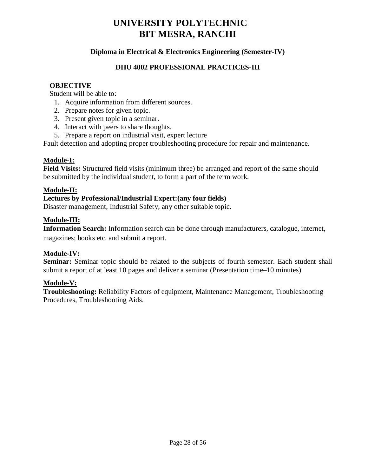# **Diploma in Electrical & Electronics Engineering (Semester-IV)**

# **DHU 4002 PROFESSIONAL PRACTICES-III**

#### **OBJECTIVE**

Student will be able to:

- 1. Acquire information from different sources.
- 2. Prepare notes for given topic.
- 3. Present given topic in a seminar.
- 4. Interact with peers to share thoughts.
- 5. Prepare a report on industrial visit, expert lecture

Fault detection and adopting proper troubleshooting procedure for repair and maintenance.

# **Module-I:**

**Field Visits:** Structured field visits (minimum three) be arranged and report of the same should be submitted by the individual student, to form a part of the term work.

## **Module-II:**

## **Lectures by Professional/Industrial Expert:(any four fields)**

Disaster management, Industrial Safety, any other suitable topic.

## **Module-III:**

**Information Search:** Information search can be done through manufacturers, catalogue, internet, magazines; books etc. and submit a report.

## **Module-IV:**

**Seminar:** Seminar topic should be related to the subjects of fourth semester. Each student shall submit a report of at least 10 pages and deliver a seminar (Presentation time–10 minutes)

## **Module-V:**

**Troubleshooting:** Reliability Factors of equipment, Maintenance Management, Troubleshooting Procedures, Troubleshooting Aids.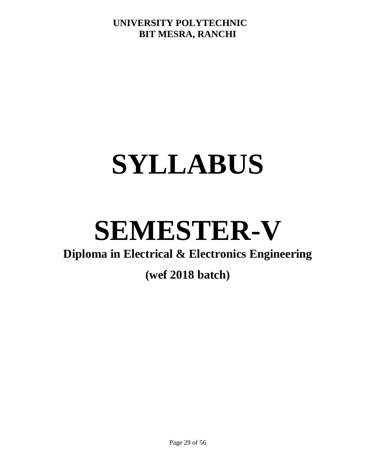# **SYLLABUS**

# **SEMESTER-V**

# **Diploma in Electrical & Electronics Engineering**

# **(wef 2018 batch)**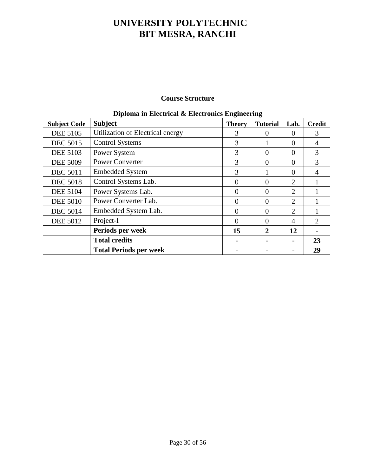# **Course Structure**

| <b>Subject Code</b> | Diploma in Encenteal & Encentrus Engineering<br><b>Subject</b> | <b>Theory</b> | <b>Tutorial</b> | Lab.           | <b>Credit</b> |
|---------------------|----------------------------------------------------------------|---------------|-----------------|----------------|---------------|
| <b>DEE 5105</b>     | Utilization of Electrical energy                               | 3             | $\Omega$        | $\theta$       | 3             |
| <b>DEC 5015</b>     | <b>Control Systems</b>                                         | 3             |                 | 0              |               |
| <b>DEE 5103</b>     | Power System                                                   | 3             | $\Omega$        | $\Omega$       | 3             |
| <b>DEE 5009</b>     | <b>Power Converter</b>                                         | 3             | $\overline{0}$  | $\Omega$       | 3             |
| <b>DEC 5011</b>     | <b>Embedded System</b>                                         | 3             |                 | $\Omega$       |               |
| <b>DEC 5018</b>     | Control Systems Lab.                                           | 0             | 0               | 2              |               |
| <b>DEE 5104</b>     | Power Systems Lab.                                             | $\theta$      | $\theta$        | 2              |               |
| <b>DEE 5010</b>     | Power Converter Lab.                                           | 0             | 0               | $\overline{2}$ |               |
| <b>DEC 5014</b>     | Embedded System Lab.                                           | $\theta$      | $\theta$        | $\overline{2}$ |               |
| <b>DEE 5012</b>     | Project-I                                                      | 0             | 0               | 4              | 2             |
|                     | Periods per week                                               | 15            | 2               | 12             |               |
|                     | <b>Total credits</b>                                           |               |                 |                | 23            |
|                     | <b>Total Periods per week</b>                                  |               |                 |                | 29            |

# **Diploma in Electrical & Electronics Engineering**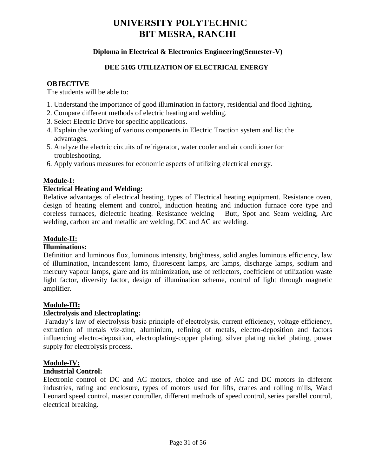# **Diploma in Electrical & Electronics Engineering(Semester-V)**

## **DEE 5105 UTILIZATION OF ELECTRICAL ENERGY**

#### **OBJECTIVE**

The students will be able to:

- 1. Understand the importance of good illumination in factory, residential and flood lighting.
- 2. Compare different methods of electric heating and welding.
- 3. Select Electric Drive for specific applications.
- 4. Explain the working of various components in Electric Traction system and list the advantages.
- 5. Analyze the electric circuits of refrigerator, water cooler and air conditioner for troubleshooting.
- 6. Apply various measures for economic aspects of utilizing electrical energy.

# **Module-I:**

## **Electrical Heating and Welding:**

Relative advantages of electrical heating, types of Electrical heating equipment. Resistance oven, design of heating element and control, induction heating and induction furnace core type and coreless furnaces, dielectric heating. Resistance welding – Butt, Spot and Seam welding, Arc welding, carbon arc and metallic arc welding, DC and AC arc welding.

# **Module-II:**

## **Illuminations:**

Definition and luminous flux, luminous intensity, brightness, solid angles luminous efficiency, law of illumination, Incandescent lamp, fluorescent lamps, arc lamps, discharge lamps, sodium and mercury vapour lamps, glare and its minimization, use of reflectors, coefficient of utilization waste light factor, diversity factor, design of illumination scheme, control of light through magnetic amplifier.

## **Module-III:**

## **Electrolysis and Electroplating:**

Faraday's law of electrolysis basic principle of electrolysis, current efficiency, voltage efficiency, extraction of metals viz-zinc, aluminium, refining of metals, electro-deposition and factors influencing electro-deposition, electroplating-copper plating, silver plating nickel plating, power supply for electrolysis process.

## **Module-IV:**

## **Industrial Control:**

Electronic control of DC and AC motors, choice and use of AC and DC motors in different industries, rating and enclosure, types of motors used for lifts, cranes and rolling mills, Ward Leonard speed control, master controller, different methods of speed control, series parallel control, electrical breaking.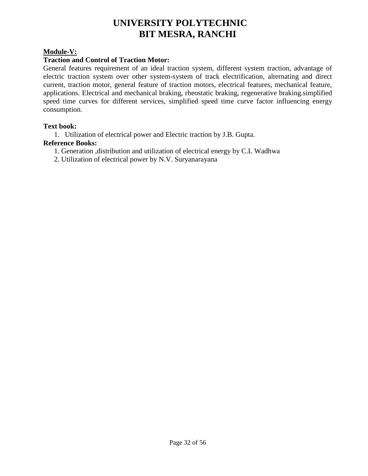# **Module-V:**

# **Traction and Control of Traction Motor:**

General features requirement of an ideal traction system, different system traction, advantage of electric traction system over other system-system of track electrification, alternating and direct current, traction motor, general feature of traction motors, electrical features, mechanical feature, applications. Electrical and mechanical braking, rheostatic braking, regenerative braking.simplified speed time curves for different services, simplified speed time curve factor influencing energy consumption.

#### **Text book:**

1. Utilization of electrical power and Electric traction by J.B. Gupta.

#### **Reference Books:**

- 1. Generation ,distribution and utilization of electrical energy by C.L Wadhwa
- 2. Utilization of electrical power by N.V. Suryanarayana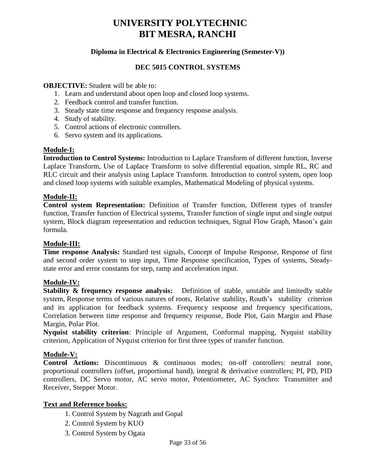# **Diploma in Electrical & Electronics Engineering (Semester-V))**

#### **DEC 5015 CONTROL SYSTEMS**

#### **OBJECTIVE:** Student will be able to:

- 1. Learn and understand about open loop and closed loop systems.
- 2. Feedback control and transfer function.
- 3. Steady state time response and frequency response analysis.
- 4. Study of stability.
- 5. Control actions of electronic controllers.
- 6. Servo system and its applications.

#### **Module-I:**

**Introduction to Control Systems:** Introduction to Laplace Transform of different function, Inverse Laplace Transform, Use of Laplace Transform to solve differential equation, simple RL, RC and RLC circuit and their analysis using Laplace Transform. Introduction to control system, open loop and closed loop systems with suitable examples, Mathematical Modeling of physical systems.

#### **Module-II:**

**Control system Representation:** Definition of Transfer function, Different types of transfer function, Transfer function of Electrical systems, Transfer function of single input and single output system, Block diagram representation and reduction techniques, Signal Flow Graph, Mason's gain formula.

#### **Module-III:**

**Time response Analysis:** Standard test signals, Concept of Impulse Response, Response of first and second order system to step input, Time Response specification, Types of systems, Steadystate error and error constants for step, ramp and acceleration input.

## **Module-IV:**

**Stability & frequency response analysis:** Definition of stable, unstable and limitedly stable system, Response terms of various natures of roots, Relative stability, Routh's stability criterion and its application for feedback systems. Frequency response and frequency specifications, Correlation between time response and frequency response, Bode Plot, Gain Margin and Phase Margin, Polar Plot.

**Nyquist stability criterion**: Principle of Argument, Conformal mapping, Nyquist stability criterion, Application of Nyquist criterion for first three types of transfer function.

#### **Module-V:**

**Control Actions:** Discontinuous & continuous modes; on-off controllers: neutral zone, proportional controllers (offset, proportional band), integral & derivative controllers; PI, PD, PID controllers, DC Servo motor, AC servo motor, Potentiometer, AC Synchro: Transmitter and Receiver, Stepper Motor.

## **Text and Reference books:**

- 1. Control System by Nagrath and Gopal
- 2. Control System by KUO
- 3. Control System by Ogata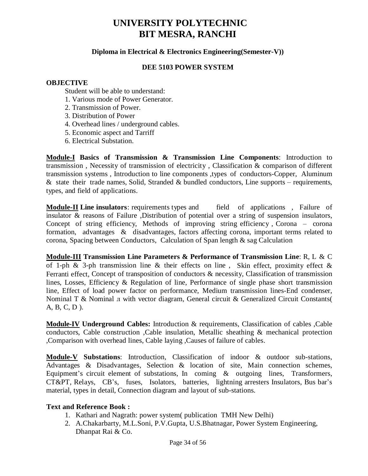#### **Diploma in Electrical & Electronics Engineering(Semester-V))**

#### **DEE 5103 POWER SYSTEM**

#### **OBJECTIVE**

Student will be able to understand:

- 1. Various mode of Power Generator.
- 2. Transmission of Power.
- 3. Distribution of Power
- 4. Overhead lines / underground cables.
- 5. Economic aspect and Tarriff
- 6. Electrical Substation.

**Module-I Basics of Transmission & Transmission Line Components**: Introduction to transmission , Necessity of transmission of electricity , Classification & comparison of different transmission systems , Introduction to line components ,types of conductors-Copper, Aluminum  $\&$  state their trade names, Solid, Stranded  $\&$  bundled conductors, Line supports – requirements, types, and field of applications.

**Module-II Line insulators**: requirements types and field of applications , Failure of insulator & reasons of Failure ,Distribution of potential over a string of suspension insulators, Concept of string efficiency, Methods of improving string efficiency , Corona – corona formation, advantages & disadvantages, factors affecting corona, important terms related to corona, Spacing between Conductors, Calculation of Span length & sag Calculation

**Module-III Transmission Line Parameters & Performance of Transmission Line**: R, L & C of 1-ph & 3-ph transmission line & their effects on line, Skin effect, proximity effect & Ferranti effect, Concept of transposition of conductors & necessity, Classification of transmission lines, Losses, Efficiency & Regulation of line, Performance of single phase short transmission line, Effect of load power factor on performance, Medium transmission lines-End condenser, Nominal T & Nominal л with vector diagram, General circuit & Generalized Circuit Constants( A, B, C, D ).

**Module-IV Underground Cables:** Introduction & requirements, Classification of cables ,Cable conductors, Cable construction ,Cable insulation, Metallic sheathing & mechanical protection ,Comparison with overhead lines, Cable laying ,Causes of failure of cables.

**Module-V Substations**: Introduction, Classification of indoor & outdoor sub-stations, Advantages & Disadvantages, Selection & location of site, Main connection schemes, Equipment's circuit element of substations, In coming & outgoing lines, Transformers, CT&PT, Relays, CB's, fuses, Isolators, batteries, lightning arresters Insulators, Bus bar's material, types in detail, Connection diagram and layout of sub-stations.

#### **Text and Reference Book :**

- 1. Kathari and Nagrath: power system( publication TMH New Delhi)
- 2. A.Chakarbarty, M.L.Soni, P.V.Gupta, U.S.Bhatnagar, Power System Engineering, Dhanpat Rai & Co.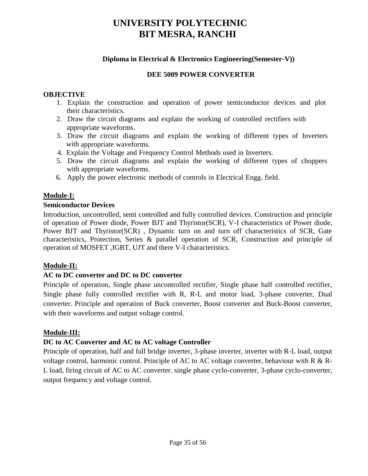# **Diploma in Electrical & Electronics Engineering(Semester-V))**

# **DEE 5009 POWER CONVERTER**

## **OBJECTIVE**

- 1. Explain the construction and operation of power semiconductor devices and plot their characteristics.
- 2. Draw the circuit diagrams and explain the working of controlled rectifiers with appropriate waveforms.
- 3. Draw the circuit diagrams and explain the working of different types of Inverters with appropriate waveforms.
- 4. Explain the Voltage and Frequency Control Methods used in Inverters.
- 5. Draw the circuit diagrams and explain the working of different types of choppers with appropriate waveforms.
- 6. Apply the power electronic methods of controls in Electrical Engg. field.

# **Module-I:**

## **Semiconductor Devices**

Introduction, uncontrolled, semi controlled and fully controlled devices. Construction and principle of operation of Power diode, Power BJT and Thyristor(SCR), V-I characteristics of Power diode, Power BJT and Thyristor(SCR) , Dynamic turn on and turn off characteristics of SCR, Gate characteristics, Protection, Series & parallel operation of SCR, Construction and principle of operation of MOSFET ,IGBT, UJT and there V-I characteristics.

# **Module-II:**

# **AC to DC converter and DC to DC converter**

Principle of operation, Single phase uncontrolled rectifier, Single phase half controlled rectifier, Single phase fully controlled rectifier with R, R-L and motor load, 3-phase converter, Dual converter. Principle and operation of Buck converter, Boost converter and Buck-Boost converter, with their waveforms and output voltage control.

## **Module-III:**

# **DC to AC Converter and AC to AC voltage Controller**

Principle of operation, half and full bridge inverter, 3-phase inverter, inverter with R-L load, output voltage control, harmonic control. Principle of AC to AC voltage converter, behaviour with R & R-L load, firing circuit of AC to AC converter. single phase cyclo-converter, 3-phase cyclo-converter, output frequency and voltage control.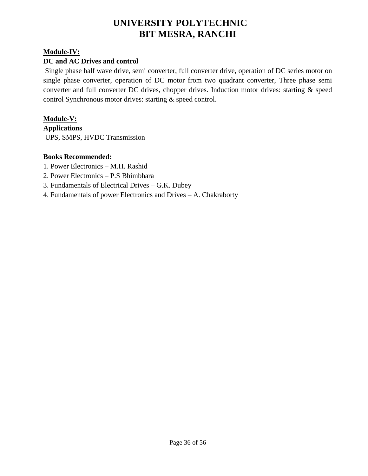# **Module-IV:**

# **DC and AC Drives and control**

Single phase half wave drive, semi converter, full converter drive, operation of DC series motor on single phase converter, operation of DC motor from two quadrant converter, Three phase semi converter and full converter DC drives, chopper drives. Induction motor drives: starting & speed control Synchronous motor drives: starting & speed control.

# **Module-V:**

**Applications** UPS, SMPS, HVDC Transmission

## **Books Recommended:**

- 1. Power Electronics M.H. Rashid
- 2. Power Electronics P.S Bhimbhara
- 3. Fundamentals of Electrical Drives G.K. Dubey
- 4. Fundamentals of power Electronics and Drives A. Chakraborty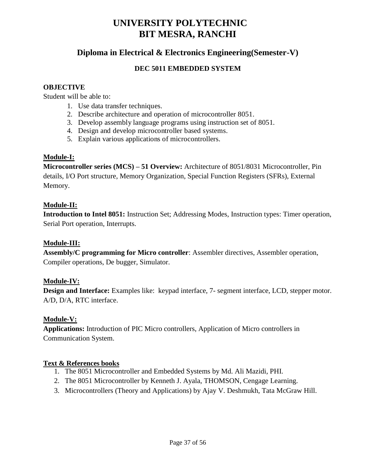# **Diploma in Electrical & Electronics Engineering(Semester-V)**

# **DEC 5011 EMBEDDED SYSTEM**

#### **OBJECTIVE**

Student will be able to:

- 1. Use data transfer techniques.
- 2. Describe architecture and operation of microcontroller 8051.
- 3. Develop assembly language programs using instruction set of 8051.
- 4. Design and develop microcontroller based systems.
- 5. Explain various applications of microcontrollers.

## **Module-I:**

**Microcontroller series (MCS) – 51 Overview:** Architecture of 8051/8031 Microcontroller, Pin details, I/O Port structure, Memory Organization, Special Function Registers (SFRs), External Memory.

## **Module-II:**

**Introduction to Intel 8051:** Instruction Set; Addressing Modes, Instruction types: Timer operation, Serial Port operation, Interrupts.

## **Module-III:**

**Assembly/C programming for Micro controller**: Assembler directives, Assembler operation, Compiler operations, De bugger, Simulator.

## **Module-IV:**

**Design and Interface:** Examples like: keypad interface, 7- segment interface, LCD, stepper motor. A/D, D/A, RTC interface.

## **Module-V:**

**Applications:** Introduction of PIC Micro controllers, Application of Micro controllers in Communication System.

## **Text & References books**

- 1. The 8051 Microcontroller and Embedded Systems by Md. Ali Mazidi, PHI.
- 2. The 8051 Microcontroller by Kenneth J. Ayala, THOMSON, Cengage Learning.
- 3. Microcontrollers (Theory and Applications) by Ajay V. Deshmukh, Tata McGraw Hill.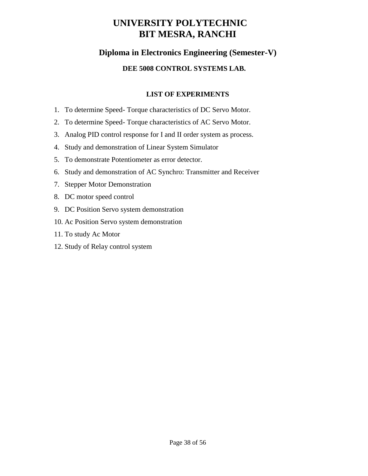# **Diploma in Electronics Engineering (Semester-V)**

# **DEE 5008 CONTROL SYSTEMS LAB.**

# **LIST OF EXPERIMENTS**

- 1. To determine Speed- Torque characteristics of DC Servo Motor.
- 2. To determine Speed- Torque characteristics of AC Servo Motor.
- 3. Analog PID control response for I and II order system as process.
- 4. Study and demonstration of Linear System Simulator
- 5. To demonstrate Potentiometer as error detector.
- 6. Study and demonstration of AC Synchro: Transmitter and Receiver
- 7. Stepper Motor Demonstration
- 8. DC motor speed control
- 9. DC Position Servo system demonstration
- 10. Ac Position Servo system demonstration
- 11. To study Ac Motor
- 12. Study of Relay control system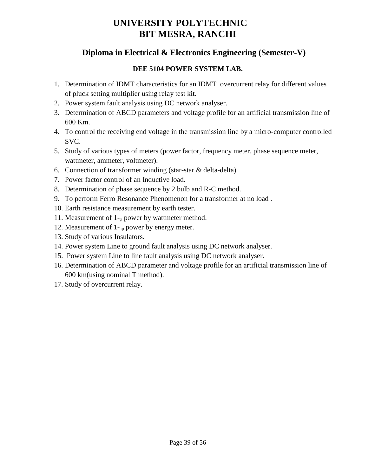# **Diploma in Electrical & Electronics Engineering (Semester-V)**

# **DEE 5104 POWER SYSTEM LAB.**

- 1. Determination of IDMT characteristics for an IDMT overcurrent relay for different values of pluck setting multiplier using relay test kit.
- 2. Power system fault analysis using DC network analyser.
- 3. Determination of ABCD parameters and voltage profile for an artificial transmission line of 600 Km.
- 4. To control the receiving end voltage in the transmission line by a micro-computer controlled SVC.
- 5. Study of various types of meters (power factor, frequency meter, phase sequence meter, wattmeter, ammeter, voltmeter).
- 6. Connection of transformer winding (star-star & delta-delta).
- 7. Power factor control of an Inductive load.
- 8. Determination of phase sequence by 2 bulb and R-C method.
- 9. To perform Ferro Resonance Phenomenon for a transformer at no load .
- 10. Earth resistance measurement by earth tester.
- 11. Measurement of  $1_{\text{-}}$  power by wattmeter method.
- 12. Measurement of 1- $_{\circ}$  power by energy meter.
- 13. Study of various Insulators.
- 14. Power system Line to ground fault analysis using DC network analyser.
- 15. Power system Line to line fault analysis using DC network analyser.
- 16. Determination of ABCD parameter and voltage profile for an artificial transmission line of 600 km(using nominal T method).
- 17. Study of overcurrent relay.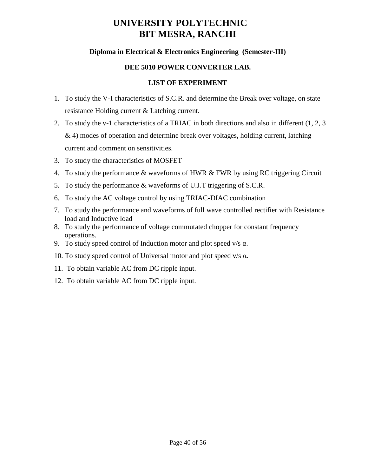# **Diploma in Electrical & Electronics Engineering (Semester-III)**

# **DEE 5010 POWER CONVERTER LAB.**

# **LIST OF EXPERIMENT**

- 1. To study the V-I characteristics of S.C.R. and determine the Break over voltage, on state resistance Holding current & Latching current.
- 2. To study the v-1 characteristics of a TRIAC in both directions and also in different (1, 2, 3 & 4) modes of operation and determine break over voltages, holding current, latching current and comment on sensitivities.
- 3. To study the characteristics of MOSFET
- 4. To study the performance & waveforms of HWR & FWR by using RC triggering Circuit
- 5. To study the performance & waveforms of U.J.T triggering of S.C.R.
- 6. To study the AC voltage control by using TRIAC-DIAC combination
- 7. To study the performance and waveforms of full wave controlled rectifier with Resistance load and Inductive load
- 8. To study the performance of voltage commutated chopper for constant frequency operations.
- 9. To study speed control of Induction motor and plot speed  $v/s \alpha$ .
- 10. To study speed control of Universal motor and plot speed v/s  $α$ .
- 11. To obtain variable AC from DC ripple input.
- 12. To obtain variable AC from DC ripple input.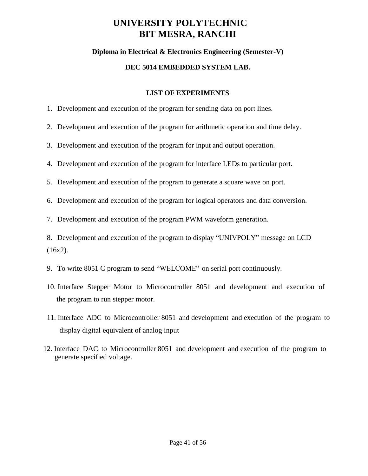# **Diploma in Electrical & Electronics Engineering (Semester-V)**

# **DEC 5014 EMBEDDED SYSTEM LAB.**

# **LIST OF EXPERIMENTS**

- 1. Development and execution of the program for sending data on port lines.
- 2. Development and execution of the program for arithmetic operation and time delay.
- 3. Development and execution of the program for input and output operation.
- 4. Development and execution of the program for interface LEDs to particular port.
- 5. Development and execution of the program to generate a square wave on port.
- 6. Development and execution of the program for logical operators and data conversion.
- 7. Development and execution of the program PWM waveform generation.

8. Development and execution of the program to display "UNIVPOLY" message on LCD  $(16x2)$ .

- 9. To write 8051 C program to send "WELCOME" on serial port continuously.
- 10. Interface Stepper Motor to Microcontroller 8051 and development and execution of the program to run stepper motor.
- 11. Interface ADC to Microcontroller 8051 and development and execution of the program to display digital equivalent of analog input
- 12. Interface DAC to Microcontroller 8051 and development and execution of the program to generate specified voltage.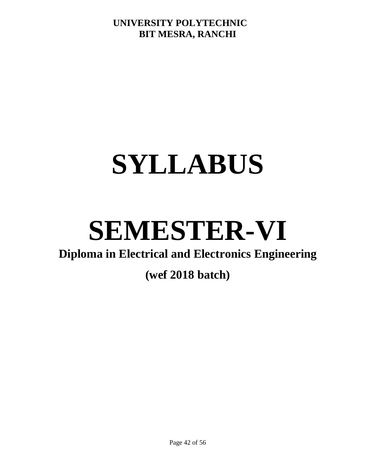# **SYLLABUS**

# **SEMESTER-VI**

# **Diploma in Electrical and Electronics Engineering**

# **(wef 2018 batch)**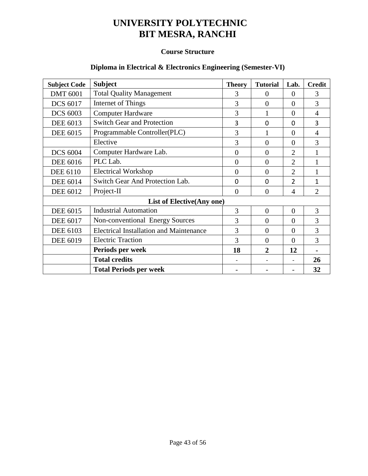# **Course Structure**

# **Diploma in Electrical & Electronics Engineering (Semester-VI)**

| <b>Subject Code</b>        | <b>Subject</b>                                 | <b>Theory</b>  | <b>Tutorial</b> | Lab.           | <b>Credit</b>  |
|----------------------------|------------------------------------------------|----------------|-----------------|----------------|----------------|
| <b>DMT 6001</b>            | <b>Total Quality Management</b>                | 3              | 0               | $\theta$       | 3              |
| <b>DCS 6017</b>            | Internet of Things                             | 3              | $\overline{0}$  | $\overline{0}$ | 3              |
| <b>DCS 6003</b>            | <b>Computer Hardware</b>                       | 3              |                 | $\theta$       | 4              |
| <b>DEE 6013</b>            | <b>Switch Gear and Protection</b>              | 3              | 0               | $\Omega$       | 3              |
| <b>DEE 6015</b>            | Programmable Controller(PLC)                   | 3              |                 | $\theta$       | $\overline{4}$ |
|                            | Elective                                       | 3              | $\overline{0}$  | $\overline{0}$ | 3              |
| <b>DCS 6004</b>            | Computer Hardware Lab.                         | $\overline{0}$ | $\theta$        | $\overline{2}$ | $\mathbf{1}$   |
| <b>DEE 6016</b>            | PLC Lab.                                       | $\overline{0}$ | $\overline{0}$  | $\overline{2}$ |                |
| <b>DEE 6110</b>            | <b>Electrical Workshop</b>                     | $\overline{0}$ | $\theta$        | $\overline{2}$ |                |
| <b>DEE 6014</b>            | Switch Gear And Protection Lab.                | $\mathbf 0$    | 0               | $\overline{2}$ | 1              |
| <b>DEE 6012</b>            | Project-II                                     | $\overline{0}$ | $\overline{0}$  | $\overline{4}$ | $\overline{2}$ |
| List of Elective (Any one) |                                                |                |                 |                |                |
| <b>DEE 6015</b>            | <b>Industrial Automation</b>                   | 3              | $\theta$        | $\overline{0}$ | 3              |
| <b>DEE 6017</b>            | Non-conventional Energy Sources                | 3              | $\overline{0}$  | $\overline{0}$ | 3              |
| <b>DEE 6103</b>            | <b>Electrical Installation and Maintenance</b> | 3              | $\theta$        | $\overline{0}$ | 3              |
| <b>DEE 6019</b>            | <b>Electric Traction</b>                       | 3              | $\overline{0}$  | $\Omega$       | 3              |
|                            | Periods per week                               | 18             | $\mathbf{2}$    | 12             |                |
|                            | <b>Total credits</b>                           |                |                 |                | 26             |
|                            | <b>Total Periods per week</b>                  |                |                 |                | 32             |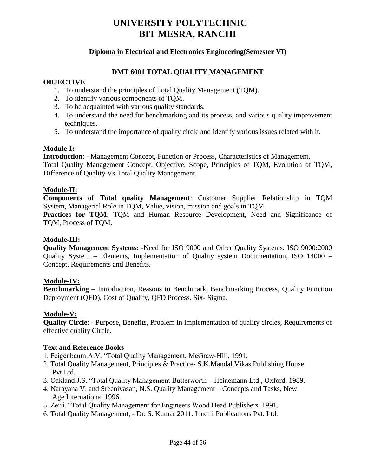## **Diploma in Electrical and Electronics Engineering(Semester VI)**

#### **DMT 6001 TOTAL QUALITY MANAGEMENT**

#### **OBJECTIVE**

- 1. To understand the principles of Total Quality Management (TQM).
- 2. To identify various components of TQM.
- 3. To be acquainted with various quality standards.
- 4. To understand the need for benchmarking and its process, and various quality improvement techniques.
- 5. To understand the importance of quality circle and identify various issues related with it.

## **Module-I:**

**Introduction**: - Management Concept, Function or Process, Characteristics of Management. Total Quality Management Concept, Objective, Scope, Principles of TQM, Evolution of TQM, Difference of Quality Vs Total Quality Management.

#### **Module-II:**

**Components of Total quality Management**: Customer Supplier Relationship in TQM System, Managerial Role in TQM, Value, vision, mission and goals in TQM.

**Practices for TQM**: TQM and Human Resource Development, Need and Significance of TQM, Process of TQM.

#### **Module-III:**

**Quality Management Systems**: -Need for ISO 9000 and Other Quality Systems, ISO 9000:2000 Quality System – Elements, Implementation of Quality system Documentation, ISO 14000 – Concept, Requirements and Benefits.

## **Module-IV:**

**Benchmarking** – Introduction, Reasons to Benchmark, Benchmarking Process, Quality Function Deployment (QFD), Cost of Quality, QFD Process. Six- Sigma.

## **Module-V:**

**Quality Circle**: - Purpose, Benefits, Problem in implementation of quality circles, Requirements of effective quality Circle.

#### **Text and Reference Books**

1. Feigenbaum.A.V. "Total Quality Management, McGraw-Hill, 1991.

- 2. Total Quality Management, Principles & Practice- S.K.Mandal.Vikas Publishing House Pvt Ltd.
- 3. Oakland.J.S. "Total Quality Management Butterworth Hcinemann Ltd., Oxford. 1989.
- 4. Narayana V. and Sreenivasan, N.S. Quality Management Concepts and Tasks, New Age International 1996.
- 5. Zeiri. "Total Quality Management for Engineers Wood Head Publishers, 1991.
- 6. Total Quality Management, Dr. S. Kumar 2011. Laxmi Publications Pvt. Ltd.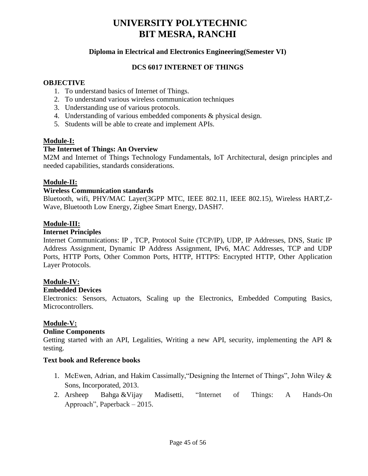## **Diploma in Electrical and Electronics Engineering(Semester VI)**

# **DCS 6017 INTERNET OF THINGS**

#### **OBJECTIVE**

- 1. To understand basics of Internet of Things.
- 2. To understand various wireless communication techniques
- 3. Understanding use of various protocols.
- 4. Understanding of various embedded components & physical design.
- 5. Students will be able to create and implement APIs.

#### **Module-I:**

#### **The Internet of Things: An Overview**

M2M and Internet of Things Technology Fundamentals, IoT Architectural, design principles and needed capabilities, standards considerations.

#### **Module-II:**

#### **Wireless Communication standards**

Bluetooth, wifi, PHY/MAC Layer(3GPP MTC, IEEE 802.11, IEEE 802.15), Wireless HART,Z-Wave, Bluetooth Low Energy, Zigbee Smart Energy, DASH7.

#### **Module-III:**

#### **Internet Principles**

Internet Communications: IP , TCP, Protocol Suite (TCP/IP), UDP, IP Addresses, DNS, Static IP Address Assignment, Dynamic IP Address Assignment, IPv6, MAC Addresses, TCP and UDP Ports, HTTP Ports, Other Common Ports, HTTP, HTTPS: Encrypted HTTP, Other Application Layer Protocols.

#### **Module-IV:**

#### **Embedded Devices**

Electronics: Sensors, Actuators, Scaling up the Electronics, Embedded Computing Basics, Microcontrollers.

## **Module-V:**

#### **Online Components**

Getting started with an API, Legalities, Writing a new API, security, implementing the API & testing.

#### **Text book and Reference books**

- 1. McEwen, Adrian, and Hakim Cassimally,"Designing the Internet of Things", John Wiley & Sons, Incorporated, 2013.
- 2. Arsheep Bahga &Vijay Madisetti, "Internet of Things: A Hands-On Approach", Paperback – 2015.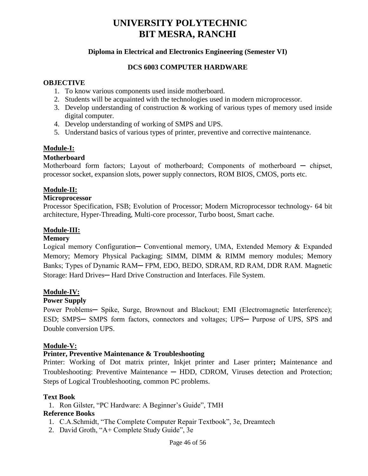## **Diploma in Electrical and Electronics Engineering (Semester VI)**

#### **DCS 6003 COMPUTER HARDWARE**

#### **OBJECTIVE**

- 1. To know various components used inside motherboard.
- 2. Students will be acquainted with the technologies used in modern microprocessor.
- 3. Develop understanding of construction & working of various types of memory used inside digital computer.
- 4. Develop understanding of working of SMPS and UPS.
- 5. Understand basics of various types of printer, preventive and corrective maintenance.

## **Module-I:**

#### **Motherboard**

Motherboard form factors; Layout of motherboard; Components of motherboard — chipset, processor socket, expansion slots, power supply connectors, ROM BIOS, CMOS, ports etc.

## **Module-II:**

#### **Microprocessor**

Processor Specification, FSB; Evolution of Processor; Modern Microprocessor technology- 64 bit architecture, Hyper-Threading, Multi-core processor, Turbo boost, Smart cache.

#### **Module-III:**

#### **Memory**

Logical memory Configuration— Conventional memory, UMA, Extended Memory & Expanded Memory; Memory Physical Packaging; SIMM, DIMM & RIMM memory modules; Memory Banks; Types of Dynamic RAM─ FPM, EDO, BEDO, SDRAM, RD RAM, DDR RAM. Magnetic Storage: Hard Drives— Hard Drive Construction and Interfaces. File System.

#### **Module-IV:**

#### **Power Supply**

Power Problems— Spike, Surge, Brownout and Blackout; EMI (Electromagnetic Interference); ESD; SMPS**─** SMPS form factors, connectors and voltages; UPS─ Purpose of UPS, SPS and Double conversion UPS.

#### **Module-V:**

#### **Printer, Preventive Maintenance & Troubleshooting**

Printer: Working of Dot matrix printer, Inkjet printer and Laser printer**;** Maintenance and Troubleshooting: Preventive Maintenance **─** HDD, CDROM, Viruses detection and Protection; Steps of Logical Troubleshooting, common PC problems.

#### **Text Book**

1. Ron Gilster, "PC Hardware: A Beginner's Guide", TMH

#### **Reference Books**

- 1. C.A.Schmidt, "The Complete Computer Repair Textbook", 3e, Dreamtech
- 2. David Groth, "A+ Complete Study Guide", 3e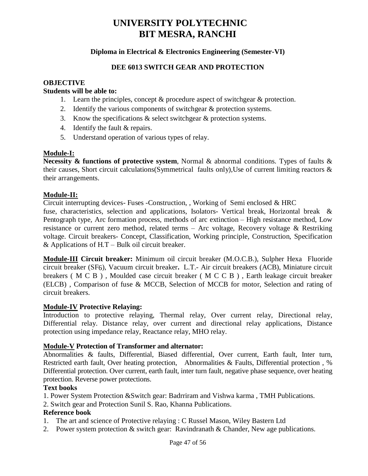# **Diploma in Electrical & Electronics Engineering (Semester-VI)**

## **DEE 6013 SWITCH GEAR AND PROTECTION**

#### **OBJECTIVE**

#### **Students will be able to:**

- 1. Learn the principles, concept & procedure aspect of switchgear & protection.
- 2. Identify the various components of switchgear & protection systems.
- 3. Know the specifications & select switchgear & protection systems.
- 4. Identify the fault & repairs.
- 5. Understand operation of various types of relay.

#### **Module-I:**

**Necessity & functions of protective system**, Normal & abnormal conditions. Types of faults & their causes, Short circuit calculations(Symmetrical faults only),Use of current limiting reactors & their arrangements.

#### **Module-II:**

Circuit interrupting devices- Fuses -Construction, , Working of Semi enclosed & HRC

fuse, characteristics, selection and applications, Isolators- Vertical break, Horizontal break & Pentograph type, Arc formation process, methods of arc extinction – High resistance method, Low resistance or current zero method, related terms – Arc voltage, Recovery voltage & Restriking voltage. Circuit breakers- Concept, Classification, Working principle, Construction, Specification & Applications of  $H.T - Bulk$  oil circuit breaker.

**Module-III Circuit breaker:** Minimum oil circuit breaker (M.O.C.B.), Sulpher Hexa Fluoride circuit breaker (SF6), Vacuum circuit breaker**.** L.T.- Air circuit breakers (ACB), Miniature circuit breakers ( M C B ) , Moulded case circuit breaker ( M C C B ) , Earth leakage circuit breaker (ELCB) , Comparison of fuse & MCCB, Selection of MCCB for motor, Selection and rating of circuit breakers.

#### **Module-IV Protective Relaying:**

Introduction to protective relaying, Thermal relay, Over current relay, Directional relay, Differential relay. Distance relay, over current and directional relay applications, Distance protection using impedance relay, Reactance relay, MHO relay.

#### **Module-V Protection of Transformer and alternator:**

Abnormalities & faults, Differential, Biased differential, Over current, Earth fault, Inter turn, Restricted earth fault, Over heating protection, Abnormalities & Faults, Differential protection , % Differential protection. Over current, earth fault, inter turn fault, negative phase sequence, over heating protection. Reverse power protections.

#### **Text books**

1. Power System Protection &Switch gear: Badrriram and Vishwa karma , TMH Publications.

2. Switch gear and Protection Sunil S. Rao, Khanna Publications.

## **Reference book**

- 1. The art and science of Protective relaying : C Russel Mason, Wiley Bastern Ltd
- 2. Power system protection & switch gear: Ravindranath & Chander, New age publications.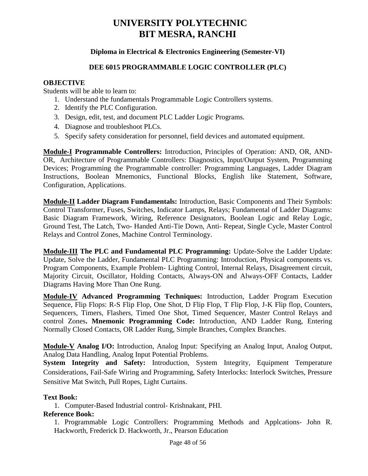# **Diploma in Electrical & Electronics Engineering (Semester-VI)**

#### **DEE 6015 PROGRAMMABLE LOGIC CONTROLLER (PLC)**

#### **OBJECTIVE**

Students will be able to learn to:

- 1. Understand the fundamentals Programmable Logic Controllers systems.
- 2. Identify the PLC Configuration.
- 3. Design, edit, test, and document PLC Ladder Logic Programs.
- 4. Diagnose and troubleshoot PLCs.
- 5. Specify safety consideration for personnel, field devices and automated equipment.

**Module-I Programmable Controllers:** Introduction, Principles of Operation: AND, OR, AND-OR, Architecture of Programmable Controllers: Diagnostics, Input/Output System, Programming Devices; Programming the Programmable controller: Programming Languages, Ladder Diagram Instructions, Boolean Mnemonics, Functional Blocks, English like Statement, Software, Configuration, Applications.

**Module-II Ladder Diagram Fundamentals:** Introduction, Basic Components and Their Symbols: Control Transformer, Fuses, Switches, Indicator Lamps, Relays; Fundamental of Ladder Diagrams: Basic Diagram Framework, Wiring, Reference Designators, Boolean Logic and Relay Logic, Ground Test, The Latch, Two- Handed Anti-Tie Down, Anti- Repeat, Single Cycle, Master Control Relays and Control Zones, Machine Control Terminology.

**Module-III The PLC and Fundamental PLC Programming:** Update-Solve the Ladder Update: Update, Solve the Ladder, Fundamental PLC Programming: Introduction, Physical components vs. Program Components, Example Problem- Lighting Control, Internal Relays, Disagreement circuit, Majority Circuit, Oscillator, Holding Contacts, Always-ON and Always-OFF Contacts, Ladder Diagrams Having More Than One Rung.

**Module-IV Advanced Programming Techniques:** Introduction, Ladder Program Execution Sequence, Flip Flops: R-S Flip Flop, One Shot, D Flip Flop, T Flip Flop, J-K Flip flop, Counters, Sequencers, Timers, Flashers, Timed One Shot, Timed Sequencer, Master Control Relays and control Zones**. Mnemonic Programming Code:** Introduction, AND Ladder Rung, Entering Normally Closed Contacts, OR Ladder Rung, Simple Branches, Complex Branches.

**Module-V Analog I/O:** Introduction, Analog Input: Specifying an Analog Input, Analog Output, Analog Data Handling, Analog Input Potential Problems.

**System Integrity and Safety:** Introduction, System Integrity, Equipment Temperature Considerations, Fail-Safe Wiring and Programming, Safety Interlocks: Interlock Switches, Pressure Sensitive Mat Switch, Pull Ropes, Light Curtains.

#### **Text Book:**

1. Computer-Based Industrial control- Krishnakant, PHI.

#### **Reference Book:**

1. Programmable Logic Controllers: Programming Methods and Applcations- John R. Hackworth, Frederick D. Hackworth, Jr., Pearson Education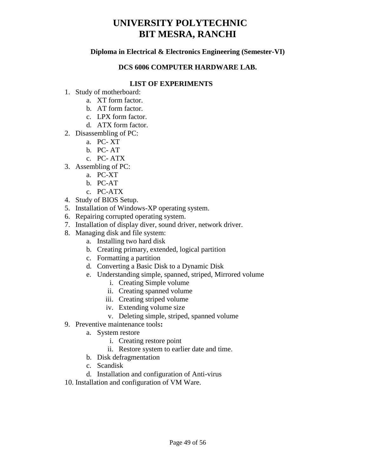# **Diploma in Electrical & Electronics Engineering (Semester-VI)**

## **DCS 6006 COMPUTER HARDWARE LAB.**

# **LIST OF EXPERIMENTS**

- 1. Study of motherboard:
	- a. XT form factor.
	- b. AT form factor.
	- c. LPX form factor.
	- d. ATX form factor.
- 2. Disassembling of PC:
	- a. PC- XT
	- b. PC- AT
	- c. PC- ATX
- 3. Assembling of PC:
	- a. PC-XT
	- b. PC-AT
	- c. PC-ATX
- 4. Study of BIOS Setup.
- 5. Installation of Windows-XP operating system.
- 6. Repairing corrupted operating system.
- 7. Installation of display diver, sound driver, network driver.
- 8. Managing disk and file system:
	- a. Installing two hard disk
	- b. Creating primary, extended, logical partition
	- c. Formatting a partition
	- d. Converting a Basic Disk to a Dynamic Disk
	- e. Understanding simple, spanned, striped, Mirrored volume
		- i. Creating Simple volume
		- ii. Creating spanned volume
		- iii. Creating striped volume
		- iv. Extending volume size
		- v. Deleting simple, striped, spanned volume
- 9. Preventive maintenance tools**:**
	- a. System restore
		- i. Creating restore point
		- ii. Restore system to earlier date and time.
	- b. Disk defragmentation
	- c. Scandisk
	- d. Installation and configuration of Anti-virus
- 10. Installation and configuration of VM Ware.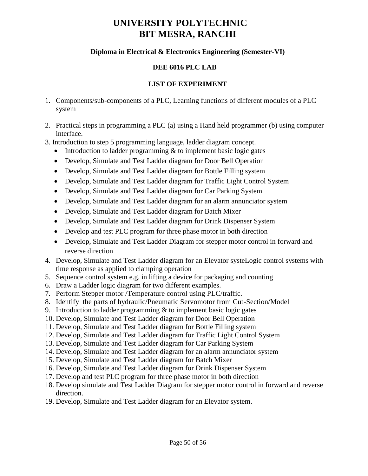# **Diploma in Electrical & Electronics Engineering (Semester-VI)**

# **DEE 6016 PLC LAB**

# **LIST OF EXPERIMENT**

- 1. Components/sub-components of a PLC, Learning functions of different modules of a PLC system
- 2. Practical steps in programming a PLC (a) using a Hand held programmer (b) using computer interface.
- 3. Introduction to step 5 programming language, ladder diagram concept.
	- Introduction to ladder programming  $&$  to implement basic logic gates
	- Develop, Simulate and Test Ladder diagram for Door Bell Operation
	- Develop, Simulate and Test Ladder diagram for Bottle Filling system
	- Develop, Simulate and Test Ladder diagram for Traffic Light Control System
	- Develop, Simulate and Test Ladder diagram for Car Parking System
	- Develop, Simulate and Test Ladder diagram for an alarm annunciator system
	- Develop, Simulate and Test Ladder diagram for Batch Mixer
	- Develop, Simulate and Test Ladder diagram for Drink Dispenser System
	- Develop and test PLC program for three phase motor in both direction
	- Develop, Simulate and Test Ladder Diagram for stepper motor control in forward and reverse direction
- 4. Develop, Simulate and Test Ladder diagram for an Elevator systeLogic control systems with time response as applied to clamping operation
- 5. Sequence control system e.g. in lifting a device for packaging and counting
- 6. Draw a Ladder logic diagram for two different examples.
- 7. Perform Stepper motor /Temperature control using PLC/traffic.
- 8. Identify the parts of hydraulic/Pneumatic Servomotor from Cut-Section/Model
- 9. Introduction to ladder programming  $\&$  to implement basic logic gates
- 10. Develop, Simulate and Test Ladder diagram for Door Bell Operation
- 11. Develop, Simulate and Test Ladder diagram for Bottle Filling system
- 12. Develop, Simulate and Test Ladder diagram for Traffic Light Control System
- 13. Develop, Simulate and Test Ladder diagram for Car Parking System
- 14. Develop, Simulate and Test Ladder diagram for an alarm annunciator system
- 15. Develop, Simulate and Test Ladder diagram for Batch Mixer
- 16. Develop, Simulate and Test Ladder diagram for Drink Dispenser System
- 17. Develop and test PLC program for three phase motor in both direction
- 18. Develop simulate and Test Ladder Diagram for stepper motor control in forward and reverse direction.
- 19. Develop, Simulate and Test Ladder diagram for an Elevator system.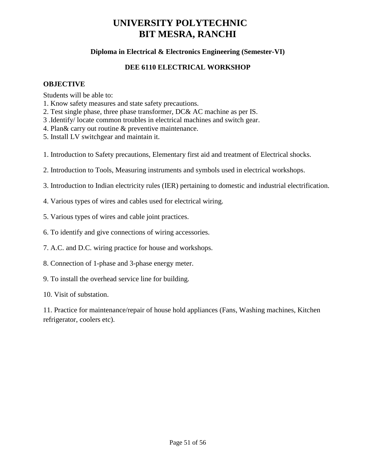# **Diploma in Electrical & Electronics Engineering (Semester-VI)**

## **DEE 6110 ELECTRICAL WORKSHOP**

#### **OBJECTIVE**

Students will be able to:

- 1. Know safety measures and state safety precautions.
- 2. Test single phase, three phase transformer, DC& AC machine as per IS.
- 3 .Identify/ locate common troubles in electrical machines and switch gear.
- 4. Plan& carry out routine & preventive maintenance.
- 5. Install LV switchgear and maintain it.
- 1. Introduction to Safety precautions, Elementary first aid and treatment of Electrical shocks.
- 2. Introduction to Tools, Measuring instruments and symbols used in electrical workshops.
- 3. Introduction to Indian electricity rules (IER) pertaining to domestic and industrial electrification.
- 4. Various types of wires and cables used for electrical wiring.
- 5. Various types of wires and cable joint practices.
- 6. To identify and give connections of wiring accessories.
- 7. A.C. and D.C. wiring practice for house and workshops.
- 8. Connection of 1-phase and 3-phase energy meter.
- 9. To install the overhead service line for building.
- 10. Visit of substation.

11. Practice for maintenance/repair of house hold appliances (Fans, Washing machines, Kitchen refrigerator, coolers etc).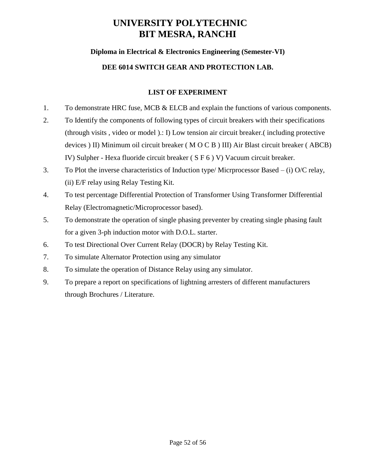# **Diploma in Electrical & Electronics Engineering (Semester-VI)**

# **DEE 6014 SWITCH GEAR AND PROTECTION LAB.**

# **LIST OF EXPERIMENT**

- 1. To demonstrate HRC fuse, MCB & ELCB and explain the functions of various components.
- 2. To Identify the components of following types of circuit breakers with their specifications (through visits , video or model ).: I) Low tension air circuit breaker.( including protective devices ) II) Minimum oil circuit breaker ( M O C B ) III) Air Blast circuit breaker ( ABCB) IV) Sulpher - Hexa fluoride circuit breaker ( S F 6 ) V) Vacuum circuit breaker.
- 3. To Plot the inverse characteristics of Induction type/ Micrprocessor Based (i) O/C relay, (ii) E/F relay using Relay Testing Kit.
- 4. To test percentage Differential Protection of Transformer Using Transformer Differential Relay (Electromagnetic/Microprocessor based).
- 5. To demonstrate the operation of single phasing preventer by creating single phasing fault for a given 3-ph induction motor with D.O.L. starter.
- 6. To test Directional Over Current Relay (DOCR) by Relay Testing Kit.
- 7. To simulate Alternator Protection using any simulator
- 8. To simulate the operation of Distance Relay using any simulator.
- 9. To prepare a report on specifications of lightning arresters of different manufacturers through Brochures / Literature.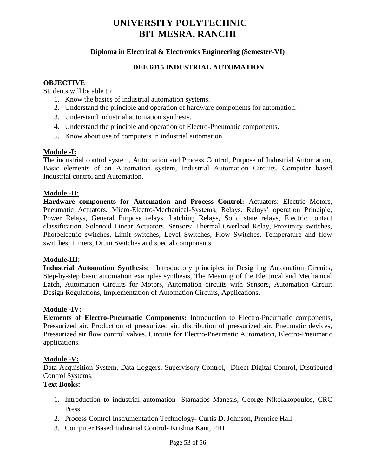# **Diploma in Electrical & Electronics Engineering (Semester-VI)**

#### **DEE 6015 INDUSTRIAL AUTOMATION**

#### **OBJECTIVE**

Students will be able to:

- 1. Know the basics of industrial automation systems.
- 2. Understand the principle and operation of hardware components for automation.
- 3. Understand industrial automation synthesis.
- 4. Understand the principle and operation of Electro-Pneumatic components.
- 5. Know about use of computers in industrial automation.

#### **Module -I:**

The industrial control system, Automation and Process Control, Purpose of Industrial Automation, Basic elements of an Automation system, Industrial Automation Circuits, Computer based Industrial control and Automation.

#### **Module -II:**

**Hardware components for Automation and Process Control:** Actuators: Electric Motors, Pneumatic Actuators, Micro-Electro-Mechanical-Systems, Relays, Relays' operation Principle, Power Relays, General Purpose relays, Latching Relays, Solid state relays, Electric contact classification, Solenoid Linear Actuators, Sensors: Thermal Overload Relay, Proximity switches, Photoelectric switches, Limit switches, Level Switches, Flow Switches, Temperature and flow switches, Timers, Drum Switches and special components.

#### **Module-III**:

**Industrial Automation Synthesis:** Introductory principles in Designing Automation Circuits, Step-by-step basic automation examples synthesis, The Meaning of the Electrical and Mechanical Latch, Automation Circuits for Motors, Automation circuits with Sensors, Automation Circuit Design Regulations, Implementation of Automation Circuits, Applications.

#### **Module -IV:**

**Elements of Electro-Pneumatic Components:** Introduction to Electro-Pneumatic components, Pressurized air, Production of pressurized air, distribution of pressurized air, Pneumatic devices, Pressurized air flow control valves, Circuits for Electro-Pneumatic Automation, Electro-Pneumatic applications.

#### **Module -V:**

Data Acquisition System, Data Loggers, Supervisory Control, Direct Digital Control, Distributed Control Systems.

# **Text Books:**

- 1. Introduction to industrial automation- Stamatios Manesis, George Nikolakopoulos, CRC Press
- 2. Process Control Instrumentation Technology- Curtis D. Johnson, Prentice Hall
- 3. Computer Based Industrial Control- Krishna Kant, PHI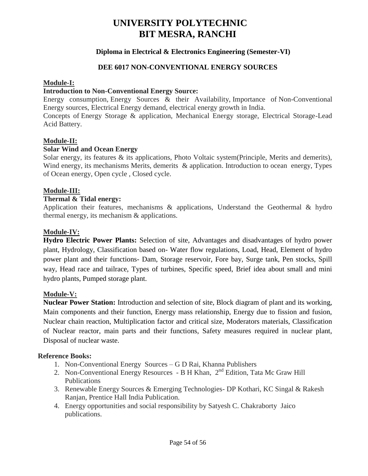# **Diploma in Electrical & Electronics Engineering (Semester-VI)**

#### **DEE 6017 NON-CONVENTIONAL ENERGY SOURCES**

#### **Module-I:**

#### **Introduction to Non-Conventional Energy Source:**

Energy consumption, Energy Sources & their Availability, Importance of Non-Conventional Energy sources, Electrical Energy demand, electrical energy growth in India.

Concepts of Energy Storage & application, Mechanical Energy storage, Electrical Storage-Lead Acid Battery.

#### **Module-II:**

#### **Solar Wind and Ocean Energy**

Solar energy, its features & its applications, Photo Voltaic system(Principle, Merits and demerits), Wind energy, its mechanisms Merits, demerits & application. Introduction to ocean energy, Types of Ocean energy, Open cycle , Closed cycle.

#### **Module-III:**

#### **Thermal & Tidal energy:**

Application their features, mechanisms & applications, Understand the Geothermal & hydro thermal energy, its mechanism & applications.

#### **Module-IV:**

**Hydro Electric Power Plants:** Selection of site, Advantages and disadvantages of hydro power plant, Hydrology, Classification based on- Water flow regulations, Load, Head, Element of hydro power plant and their functions- Dam, Storage reservoir, Fore bay, Surge tank, Pen stocks, Spill way, Head race and tailrace, Types of turbines, Specific speed, Brief idea about small and mini hydro plants, Pumped storage plant.

#### **Module-V:**

**Nuclear Power Station:** Introduction and selection of site, Block diagram of plant and its working, Main components and their function, Energy mass relationship, Energy due to fission and fusion, Nuclear chain reaction, Multiplication factor and critical size, Moderators materials, Classification of Nuclear reactor, main parts and their functions, Safety measures required in nuclear plant, Disposal of nuclear waste.

#### **Reference Books:**

- 1. Non-Conventional Energy Sources G D Rai, Khanna Publishers
- 2. Non-Conventional Energy Resources B H Khan,  $2<sup>nd</sup>$  Edition, Tata Mc Graw Hill Publications
- 3. Renewable Energy Sources & Emerging Technologies- DP Kothari, KC Singal & Rakesh Ranjan, Prentice Hall India Publication.
- 4. Energy opportunities and social responsibility by Satyesh C. Chakraborty Jaico publications.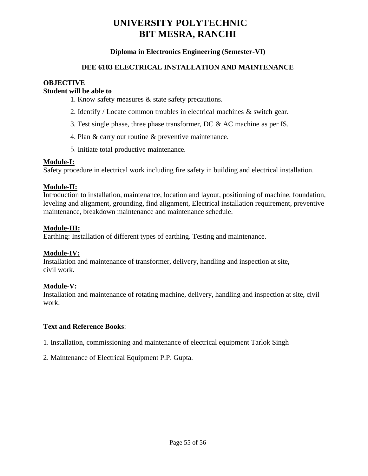## **Diploma in Electronics Engineering (Semester-VI)**

#### **DEE 6103 ELECTRICAL INSTALLATION AND MAINTENANCE**

# **OBJECTIVE**

# **Student will be able to**

- 1. Know safety measures & state safety precautions.
- 2. Identify / Locate common troubles in electrical machines & switch gear.
- 3. Test single phase, three phase transformer, DC & AC machine as per IS.
- 4. Plan & carry out routine & preventive maintenance.
- 5. Initiate total productive maintenance.

#### **Module-I:**

Safety procedure in electrical work including fire safety in building and electrical installation.

## **Module-II:**

Introduction to installation, maintenance, location and layout, positioning of machine, foundation, leveling and alignment, grounding, find alignment, Electrical installation requirement, preventive maintenance, breakdown maintenance and maintenance schedule.

#### **Module-III:**

Earthing: Installation of different types of earthing. Testing and maintenance.

## **Module-IV:**

Installation and maintenance of transformer, delivery, handling and inspection at site, civil work.

## **Module-V:**

Installation and maintenance of rotating machine, delivery, handling and inspection at site, civil work.

## **Text and Reference Books**:

1. Installation, commissioning and maintenance of electrical equipment Tarlok Singh

2. Maintenance of Electrical Equipment P.P. Gupta.